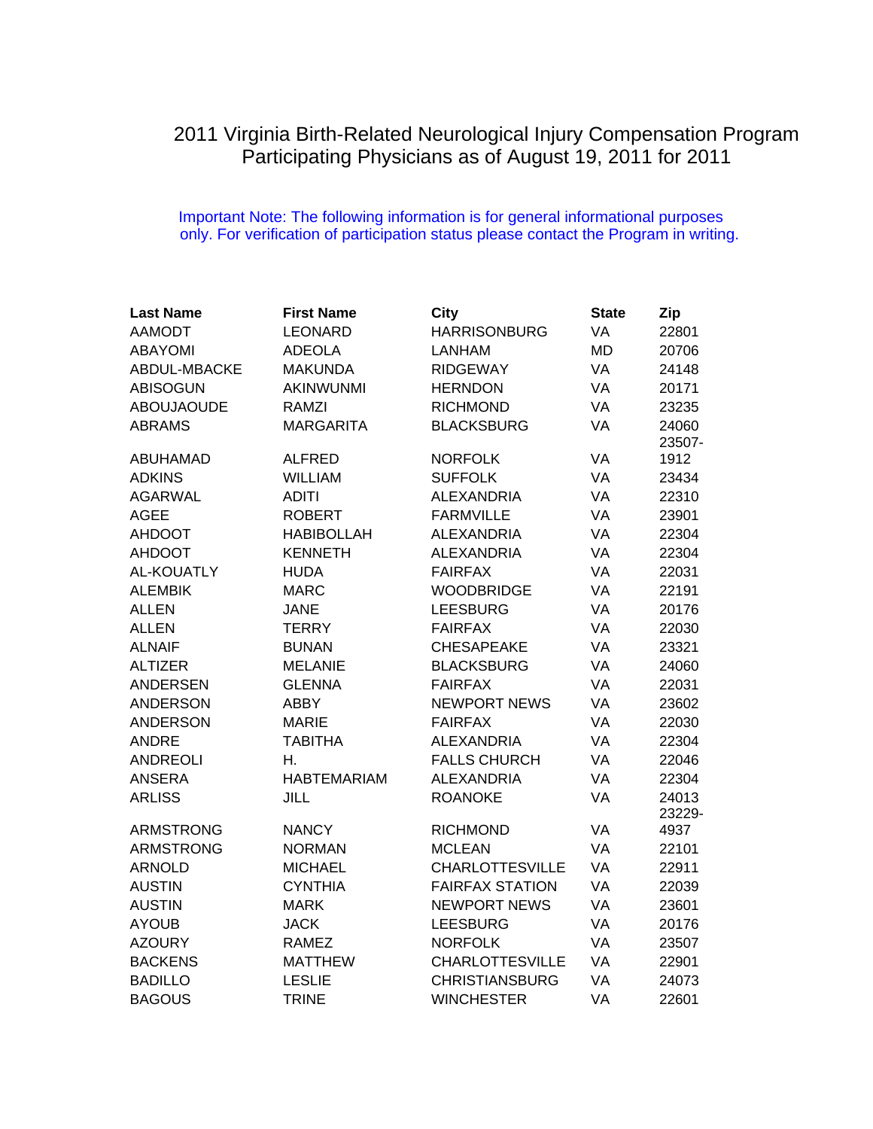## 2011 Virginia Birth-Related Neurological Injury Compensation Program Participating Physicians as of August 19, 2011 for 2011

## Important Note: The following information is for general informational purposes only. For verification of participation status please contact the Program in writing.

| <b>Last Name</b>  | <b>First Name</b>  | City                   | <b>State</b> | Zip    |
|-------------------|--------------------|------------------------|--------------|--------|
| <b>AAMODT</b>     | <b>LEONARD</b>     | <b>HARRISONBURG</b>    | VA           | 22801  |
| <b>ABAYOMI</b>    | <b>ADEOLA</b>      | <b>LANHAM</b>          | <b>MD</b>    | 20706  |
| ABDUL-MBACKE      | <b>MAKUNDA</b>     | <b>RIDGEWAY</b>        | VA           | 24148  |
| <b>ABISOGUN</b>   | AKINWUNMI          | <b>HERNDON</b>         | VA           | 20171  |
| <b>ABOUJAOUDE</b> | <b>RAMZI</b>       | <b>RICHMOND</b>        | VA           | 23235  |
| <b>ABRAMS</b>     | <b>MARGARITA</b>   | <b>BLACKSBURG</b>      | VA           | 24060  |
|                   |                    |                        |              | 23507- |
| <b>ABUHAMAD</b>   | <b>ALFRED</b>      | <b>NORFOLK</b>         | VA           | 1912   |
| <b>ADKINS</b>     | <b>WILLIAM</b>     | <b>SUFFOLK</b>         | VA           | 23434  |
| <b>AGARWAL</b>    | <b>ADITI</b>       | <b>ALEXANDRIA</b>      | VA           | 22310  |
| <b>AGEE</b>       | <b>ROBERT</b>      | <b>FARMVILLE</b>       | VA           | 23901  |
| <b>AHDOOT</b>     | <b>HABIBOLLAH</b>  | <b>ALEXANDRIA</b>      | VA           | 22304  |
| <b>AHDOOT</b>     | <b>KENNETH</b>     | <b>ALEXANDRIA</b>      | VA           | 22304  |
| <b>AL-KOUATLY</b> | <b>HUDA</b>        | <b>FAIRFAX</b>         | VA           | 22031  |
| <b>ALEMBIK</b>    | <b>MARC</b>        | <b>WOODBRIDGE</b>      | VA           | 22191  |
| <b>ALLEN</b>      | <b>JANE</b>        | <b>LEESBURG</b>        | VA           | 20176  |
| <b>ALLEN</b>      | <b>TERRY</b>       | <b>FAIRFAX</b>         | VA           | 22030  |
| <b>ALNAIF</b>     | <b>BUNAN</b>       | <b>CHESAPEAKE</b>      | VA           | 23321  |
| <b>ALTIZER</b>    | <b>MELANIE</b>     | <b>BLACKSBURG</b>      | VA           | 24060  |
| <b>ANDERSEN</b>   | <b>GLENNA</b>      | <b>FAIRFAX</b>         | VA           | 22031  |
| <b>ANDERSON</b>   | <b>ABBY</b>        | <b>NEWPORT NEWS</b>    | VA           | 23602  |
| <b>ANDERSON</b>   | <b>MARIE</b>       | <b>FAIRFAX</b>         | VA           | 22030  |
| <b>ANDRE</b>      | <b>TABITHA</b>     | <b>ALEXANDRIA</b>      | VA           | 22304  |
| <b>ANDREOLI</b>   | Η.                 | <b>FALLS CHURCH</b>    | VA           | 22046  |
| <b>ANSERA</b>     | <b>HABTEMARIAM</b> | <b>ALEXANDRIA</b>      | VA           | 22304  |
| <b>ARLISS</b>     | <b>JILL</b>        | <b>ROANOKE</b>         | VA           | 24013  |
|                   |                    |                        |              | 23229- |
| <b>ARMSTRONG</b>  | <b>NANCY</b>       | <b>RICHMOND</b>        | VA           | 4937   |
| <b>ARMSTRONG</b>  | <b>NORMAN</b>      | <b>MCLEAN</b>          | VA           | 22101  |
| <b>ARNOLD</b>     | <b>MICHAEL</b>     | <b>CHARLOTTESVILLE</b> | VA           | 22911  |
| <b>AUSTIN</b>     | <b>CYNTHIA</b>     | <b>FAIRFAX STATION</b> | VA           | 22039  |
| <b>AUSTIN</b>     | <b>MARK</b>        | <b>NEWPORT NEWS</b>    | VA           | 23601  |
| <b>AYOUB</b>      | <b>JACK</b>        | <b>LEESBURG</b>        | VA           | 20176  |
| <b>AZOURY</b>     | <b>RAMEZ</b>       | <b>NORFOLK</b>         | VA           | 23507  |
| <b>BACKENS</b>    | <b>MATTHEW</b>     | <b>CHARLOTTESVILLE</b> | VA           | 22901  |
| <b>BADILLO</b>    | <b>LESLIE</b>      | <b>CHRISTIANSBURG</b>  | VA           | 24073  |
| <b>BAGOUS</b>     | <b>TRINE</b>       | <b>WINCHESTER</b>      | VA           | 22601  |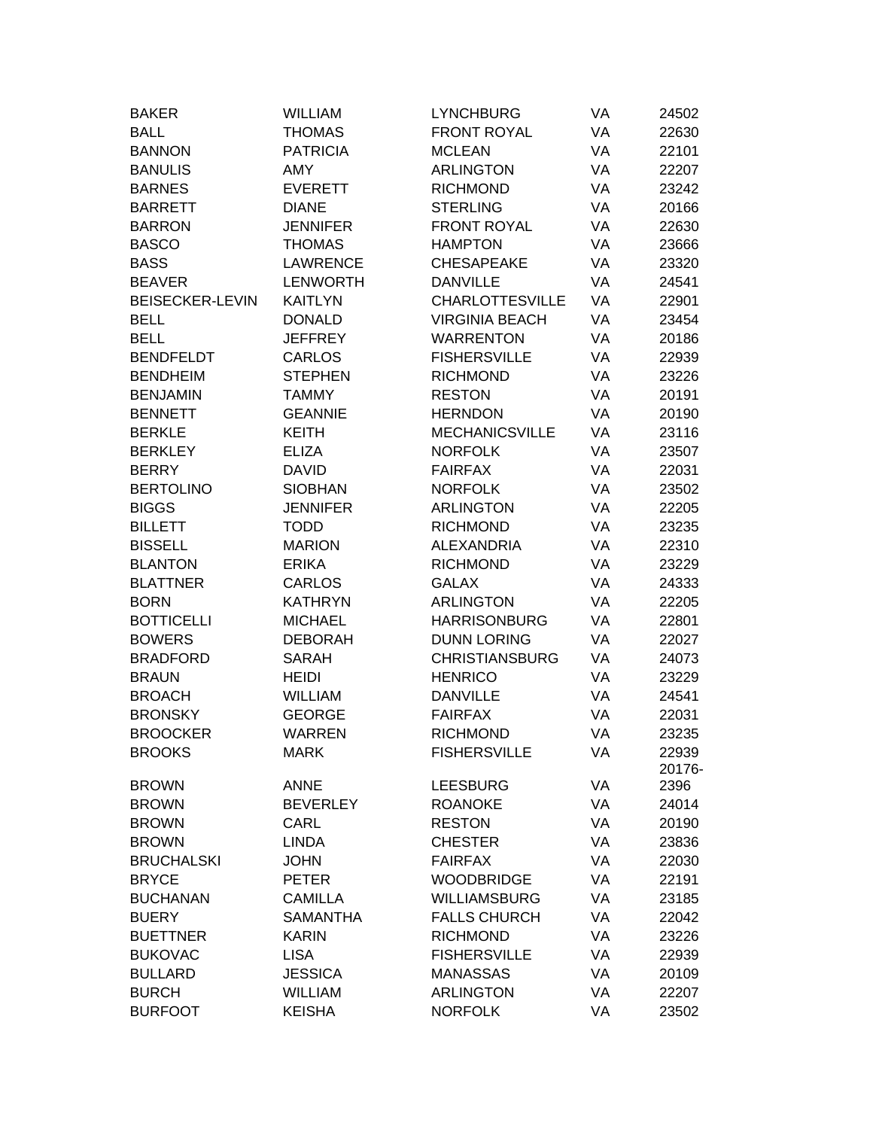| <b>BAKER</b>           | <b>WILLIAM</b>  | <b>LYNCHBURG</b>       | VA | 24502  |
|------------------------|-----------------|------------------------|----|--------|
| <b>BALL</b>            | <b>THOMAS</b>   | <b>FRONT ROYAL</b>     | VA | 22630  |
| <b>BANNON</b>          | <b>PATRICIA</b> | <b>MCLEAN</b>          | VA | 22101  |
| <b>BANULIS</b>         | <b>AMY</b>      | <b>ARLINGTON</b>       | VA | 22207  |
| <b>BARNES</b>          | <b>EVERETT</b>  | <b>RICHMOND</b>        | VA | 23242  |
| <b>BARRETT</b>         | <b>DIANE</b>    | <b>STERLING</b>        | VA | 20166  |
| <b>BARRON</b>          | <b>JENNIFER</b> | <b>FRONT ROYAL</b>     | VA | 22630  |
| <b>BASCO</b>           | <b>THOMAS</b>   | <b>HAMPTON</b>         | VA | 23666  |
| <b>BASS</b>            | <b>LAWRENCE</b> | <b>CHESAPEAKE</b>      | VA | 23320  |
| <b>BEAVER</b>          | <b>LENWORTH</b> | <b>DANVILLE</b>        | VA | 24541  |
| <b>BEISECKER-LEVIN</b> | <b>KAITLYN</b>  | <b>CHARLOTTESVILLE</b> | VA | 22901  |
| <b>BELL</b>            | <b>DONALD</b>   | <b>VIRGINIA BEACH</b>  | VA | 23454  |
| <b>BELL</b>            | <b>JEFFREY</b>  | <b>WARRENTON</b>       | VA | 20186  |
| <b>BENDFELDT</b>       | <b>CARLOS</b>   | <b>FISHERSVILLE</b>    | VA | 22939  |
| <b>BENDHEIM</b>        | <b>STEPHEN</b>  | <b>RICHMOND</b>        | VA | 23226  |
| <b>BENJAMIN</b>        | <b>TAMMY</b>    | <b>RESTON</b>          | VA | 20191  |
| <b>BENNETT</b>         | <b>GEANNIE</b>  | <b>HERNDON</b>         | VA | 20190  |
| <b>BERKLE</b>          | <b>KEITH</b>    | <b>MECHANICSVILLE</b>  | VA | 23116  |
| <b>BERKLEY</b>         | <b>ELIZA</b>    | <b>NORFOLK</b>         | VA | 23507  |
| <b>BERRY</b>           | <b>DAVID</b>    | <b>FAIRFAX</b>         | VA | 22031  |
| <b>BERTOLINO</b>       | <b>SIOBHAN</b>  | <b>NORFOLK</b>         | VA | 23502  |
| <b>BIGGS</b>           | <b>JENNIFER</b> | <b>ARLINGTON</b>       | VA | 22205  |
| <b>BILLETT</b>         | <b>TODD</b>     | <b>RICHMOND</b>        | VA | 23235  |
| <b>BISSELL</b>         | <b>MARION</b>   | <b>ALEXANDRIA</b>      | VA | 22310  |
| <b>BLANTON</b>         | <b>ERIKA</b>    | <b>RICHMOND</b>        | VA | 23229  |
| <b>BLATTNER</b>        | <b>CARLOS</b>   | <b>GALAX</b>           | VA | 24333  |
| <b>BORN</b>            | <b>KATHRYN</b>  | <b>ARLINGTON</b>       | VA | 22205  |
| <b>BOTTICELLI</b>      | <b>MICHAEL</b>  | <b>HARRISONBURG</b>    | VA | 22801  |
| <b>BOWERS</b>          | <b>DEBORAH</b>  | <b>DUNN LORING</b>     | VA | 22027  |
| <b>BRADFORD</b>        | <b>SARAH</b>    | <b>CHRISTIANSBURG</b>  | VA | 24073  |
| <b>BRAUN</b>           | <b>HEIDI</b>    | <b>HENRICO</b>         | VA | 23229  |
| <b>BROACH</b>          | <b>WILLIAM</b>  | <b>DANVILLE</b>        | VA | 24541  |
| <b>BRONSKY</b>         | <b>GEORGE</b>   | <b>FAIRFAX</b>         | VA | 22031  |
| <b>BROOCKER</b>        | WARREN          | <b>RICHMOND</b>        | VA | 23235  |
| <b>BROOKS</b>          | <b>MARK</b>     | <b>FISHERSVILLE</b>    | VA | 22939  |
|                        |                 |                        |    | 20176- |
| <b>BROWN</b>           | <b>ANNE</b>     | <b>LEESBURG</b>        | VA | 2396   |
| <b>BROWN</b>           | <b>BEVERLEY</b> | <b>ROANOKE</b>         | VA | 24014  |
| <b>BROWN</b>           | CARL            | <b>RESTON</b>          | VA | 20190  |
| <b>BROWN</b>           | <b>LINDA</b>    | <b>CHESTER</b>         | VA | 23836  |
| <b>BRUCHALSKI</b>      | <b>JOHN</b>     | <b>FAIRFAX</b>         | VA | 22030  |
| <b>BRYCE</b>           | <b>PETER</b>    | <b>WOODBRIDGE</b>      | VA | 22191  |
| <b>BUCHANAN</b>        | <b>CAMILLA</b>  | <b>WILLIAMSBURG</b>    | VA | 23185  |
| <b>BUERY</b>           | <b>SAMANTHA</b> | <b>FALLS CHURCH</b>    | VA | 22042  |
| <b>BUETTNER</b>        | <b>KARIN</b>    | <b>RICHMOND</b>        | VA | 23226  |
| <b>BUKOVAC</b>         | <b>LISA</b>     | <b>FISHERSVILLE</b>    | VA | 22939  |
| <b>BULLARD</b>         | <b>JESSICA</b>  | <b>MANASSAS</b>        | VA | 20109  |
| <b>BURCH</b>           | <b>WILLIAM</b>  | <b>ARLINGTON</b>       | VA | 22207  |
| <b>BURFOOT</b>         | <b>KEISHA</b>   | <b>NORFOLK</b>         | VA | 23502  |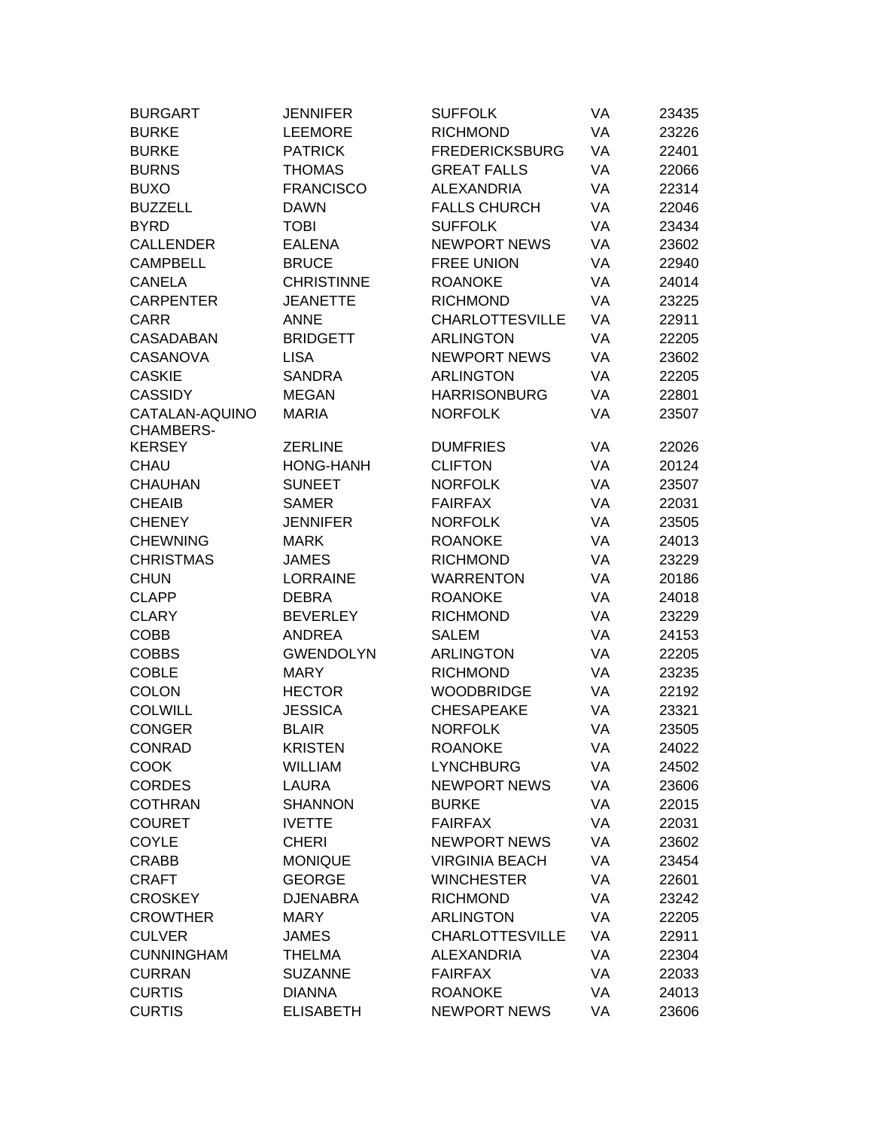| <b>BURGART</b>    | <b>JENNIFER</b>   | <b>SUFFOLK</b>         | VA | 23435 |
|-------------------|-------------------|------------------------|----|-------|
| <b>BURKE</b>      | <b>LEEMORE</b>    | <b>RICHMOND</b>        | VA | 23226 |
| <b>BURKE</b>      | <b>PATRICK</b>    | <b>FREDERICKSBURG</b>  | VA | 22401 |
| <b>BURNS</b>      | <b>THOMAS</b>     | <b>GREAT FALLS</b>     | VA | 22066 |
| <b>BUXO</b>       | <b>FRANCISCO</b>  | <b>ALEXANDRIA</b>      | VA | 22314 |
| <b>BUZZELL</b>    | <b>DAWN</b>       | <b>FALLS CHURCH</b>    | VA | 22046 |
| <b>BYRD</b>       | <b>TOBI</b>       | <b>SUFFOLK</b>         | VA | 23434 |
| <b>CALLENDER</b>  | <b>EALENA</b>     | <b>NEWPORT NEWS</b>    | VA | 23602 |
| <b>CAMPBELL</b>   | <b>BRUCE</b>      | <b>FREE UNION</b>      | VA | 22940 |
| <b>CANELA</b>     | <b>CHRISTINNE</b> | <b>ROANOKE</b>         | VA | 24014 |
| <b>CARPENTER</b>  | <b>JEANETTE</b>   | <b>RICHMOND</b>        | VA | 23225 |
| <b>CARR</b>       | <b>ANNE</b>       | <b>CHARLOTTESVILLE</b> | VA | 22911 |
| <b>CASADABAN</b>  | <b>BRIDGETT</b>   | <b>ARLINGTON</b>       | VA | 22205 |
| CASANOVA          | <b>LISA</b>       | <b>NEWPORT NEWS</b>    | VA | 23602 |
| <b>CASKIE</b>     | <b>SANDRA</b>     | <b>ARLINGTON</b>       | VA | 22205 |
| <b>CASSIDY</b>    | <b>MEGAN</b>      | <b>HARRISONBURG</b>    | VA | 22801 |
| CATALAN-AQUINO    | <b>MARIA</b>      | <b>NORFOLK</b>         | VA | 23507 |
| CHAMBERS-         |                   |                        |    |       |
| <b>KERSEY</b>     | <b>ZERLINE</b>    | <b>DUMFRIES</b>        | VA | 22026 |
| <b>CHAU</b>       | <b>HONG-HANH</b>  | <b>CLIFTON</b>         | VA | 20124 |
| <b>CHAUHAN</b>    | <b>SUNEET</b>     | <b>NORFOLK</b>         | VA | 23507 |
| <b>CHEAIB</b>     | <b>SAMER</b>      | <b>FAIRFAX</b>         | VA | 22031 |
| <b>CHENEY</b>     | <b>JENNIFER</b>   | <b>NORFOLK</b>         | VA | 23505 |
| <b>CHEWNING</b>   | MARK              | <b>ROANOKE</b>         | VA | 24013 |
| <b>CHRISTMAS</b>  | <b>JAMES</b>      | <b>RICHMOND</b>        | VA | 23229 |
| <b>CHUN</b>       | <b>LORRAINE</b>   | <b>WARRENTON</b>       | VA | 20186 |
| <b>CLAPP</b>      | <b>DEBRA</b>      | <b>ROANOKE</b>         | VA | 24018 |
| <b>CLARY</b>      | <b>BEVERLEY</b>   | <b>RICHMOND</b>        | VA | 23229 |
| <b>COBB</b>       | ANDREA            | <b>SALEM</b>           | VA | 24153 |
| <b>COBBS</b>      | <b>GWENDOLYN</b>  | <b>ARLINGTON</b>       | VA | 22205 |
| <b>COBLE</b>      | <b>MARY</b>       | <b>RICHMOND</b>        | VA | 23235 |
| <b>COLON</b>      | <b>HECTOR</b>     | <b>WOODBRIDGE</b>      | VA | 22192 |
| <b>COLWILL</b>    | <b>JESSICA</b>    | <b>CHESAPEAKE</b>      | VA | 23321 |
| <b>CONGER</b>     | <b>BLAIR</b>      | <b>NORFOLK</b>         | VA | 23505 |
| <b>CONRAD</b>     | <b>KRISTEN</b>    | <b>ROANOKE</b>         | VA | 24022 |
| <b>COOK</b>       | <b>WILLIAM</b>    | <b>LYNCHBURG</b>       | VA | 24502 |
| <b>CORDES</b>     | <b>LAURA</b>      | <b>NEWPORT NEWS</b>    | VA | 23606 |
| <b>COTHRAN</b>    | <b>SHANNON</b>    | <b>BURKE</b>           | VA | 22015 |
| <b>COURET</b>     | <b>IVETTE</b>     | <b>FAIRFAX</b>         | VA | 22031 |
| <b>COYLE</b>      | <b>CHERI</b>      | <b>NEWPORT NEWS</b>    | VA | 23602 |
| <b>CRABB</b>      | <b>MONIQUE</b>    | <b>VIRGINIA BEACH</b>  | VA | 23454 |
| <b>CRAFT</b>      | <b>GEORGE</b>     | <b>WINCHESTER</b>      | VA | 22601 |
| <b>CROSKEY</b>    | <b>DJENABRA</b>   | <b>RICHMOND</b>        | VA | 23242 |
| <b>CROWTHER</b>   | <b>MARY</b>       | <b>ARLINGTON</b>       | VA | 22205 |
| <b>CULVER</b>     | <b>JAMES</b>      | <b>CHARLOTTESVILLE</b> | VA | 22911 |
| <b>CUNNINGHAM</b> | <b>THELMA</b>     | <b>ALEXANDRIA</b>      | VA | 22304 |
| <b>CURRAN</b>     | <b>SUZANNE</b>    | <b>FAIRFAX</b>         | VA | 22033 |
| <b>CURTIS</b>     | <b>DIANNA</b>     | <b>ROANOKE</b>         | VA | 24013 |
| <b>CURTIS</b>     | <b>ELISABETH</b>  | <b>NEWPORT NEWS</b>    | VA | 23606 |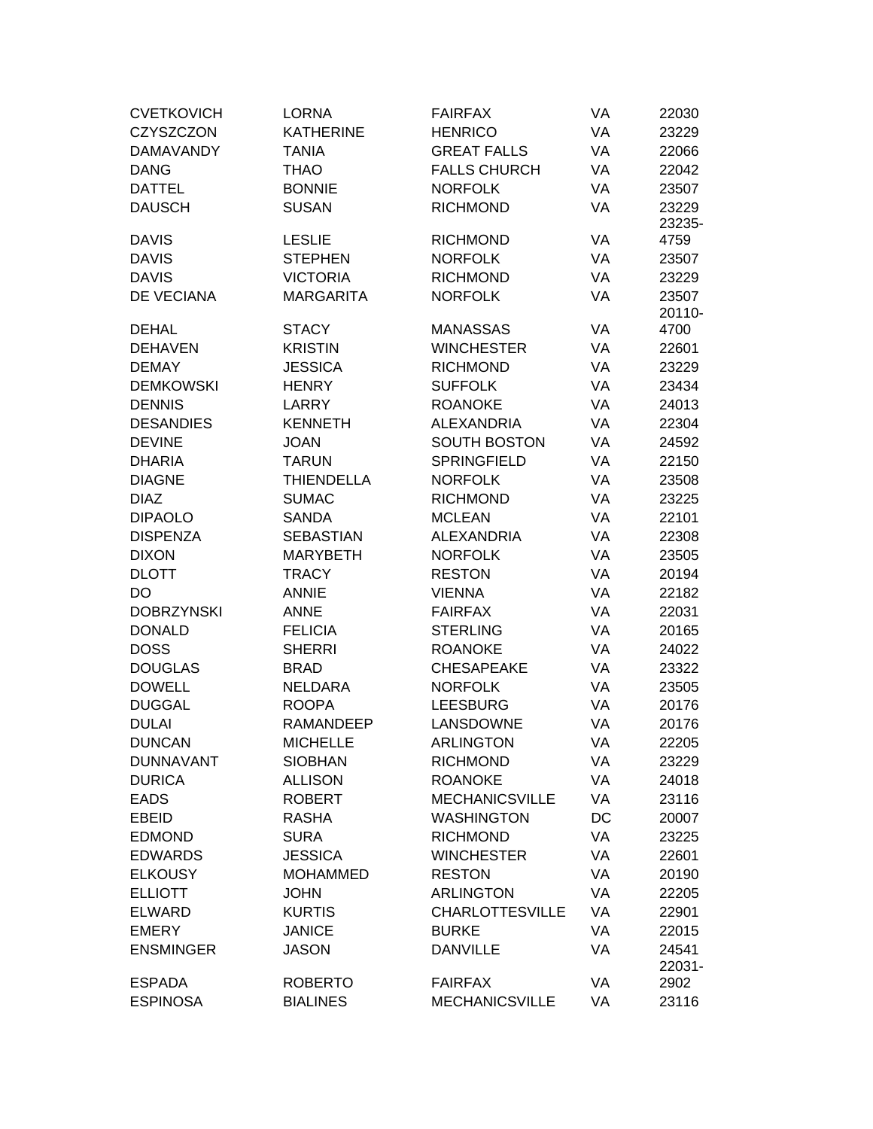| <b>CVETKOVICH</b> | <b>LORNA</b>      | <b>FAIRFAX</b>         | VA | 22030           |
|-------------------|-------------------|------------------------|----|-----------------|
| <b>CZYSZCZON</b>  | <b>KATHERINE</b>  | <b>HENRICO</b>         | VA | 23229           |
| <b>DAMAVANDY</b>  | <b>TANIA</b>      | <b>GREAT FALLS</b>     | VA | 22066           |
| <b>DANG</b>       | <b>THAO</b>       | <b>FALLS CHURCH</b>    | VA | 22042           |
| DATTEL            | <b>BONNIE</b>     | <b>NORFOLK</b>         | VA | 23507           |
| <b>DAUSCH</b>     | <b>SUSAN</b>      | <b>RICHMOND</b>        | VA | 23229           |
|                   |                   |                        |    | 23235-          |
| DAVIS             | <b>LESLIE</b>     | <b>RICHMOND</b>        | VA | 4759            |
| <b>DAVIS</b>      | <b>STEPHEN</b>    | <b>NORFOLK</b>         | VA | 23507           |
| <b>DAVIS</b>      | <b>VICTORIA</b>   | <b>RICHMOND</b>        | VA | 23229           |
| DE VECIANA        | <b>MARGARITA</b>  | <b>NORFOLK</b>         | VA | 23507           |
|                   |                   |                        |    | 20110-          |
| DEHAL             | <b>STACY</b>      | <b>MANASSAS</b>        | VA | 4700            |
| <b>DEHAVEN</b>    | <b>KRISTIN</b>    | <b>WINCHESTER</b>      | VA | 22601           |
| <b>DEMAY</b>      | <b>JESSICA</b>    | <b>RICHMOND</b>        | VA | 23229           |
| <b>DEMKOWSKI</b>  | <b>HENRY</b>      | <b>SUFFOLK</b>         | VA | 23434           |
| <b>DENNIS</b>     | LARRY             | <b>ROANOKE</b>         | VA | 24013           |
| <b>DESANDIES</b>  | <b>KENNETH</b>    | <b>ALEXANDRIA</b>      | VA | 22304           |
| <b>DEVINE</b>     | <b>JOAN</b>       | <b>SOUTH BOSTON</b>    | VA | 24592           |
| <b>DHARIA</b>     | TARUN             | <b>SPRINGFIELD</b>     | VA | 22150           |
| <b>DIAGNE</b>     | <b>THIENDELLA</b> | <b>NORFOLK</b>         | VA | 23508           |
| <b>DIAZ</b>       | <b>SUMAC</b>      | <b>RICHMOND</b>        | VA | 23225           |
| <b>DIPAOLO</b>    | <b>SANDA</b>      | <b>MCLEAN</b>          | VA | 22101           |
| <b>DISPENZA</b>   | <b>SEBASTIAN</b>  | <b>ALEXANDRIA</b>      | VA | 22308           |
| <b>DIXON</b>      | <b>MARYBETH</b>   | <b>NORFOLK</b>         | VA | 23505           |
| <b>DLOTT</b>      | <b>TRACY</b>      | <b>RESTON</b>          | VA | 20194           |
| DO                | <b>ANNIE</b>      | <b>VIENNA</b>          | VA | 22182           |
| <b>DOBRZYNSKI</b> | <b>ANNE</b>       | <b>FAIRFAX</b>         | VA | 22031           |
| <b>DONALD</b>     | <b>FELICIA</b>    | <b>STERLING</b>        | VA | 20165           |
| <b>DOSS</b>       | <b>SHERRI</b>     | <b>ROANOKE</b>         | VA | 24022           |
| <b>DOUGLAS</b>    | <b>BRAD</b>       | <b>CHESAPEAKE</b>      | VA | 23322           |
| <b>DOWELL</b>     | NELDARA           | <b>NORFOLK</b>         | VA | 23505           |
| <b>DUGGAL</b>     | <b>ROOPA</b>      | <b>LEESBURG</b>        | VA | 20176           |
| <b>DULAI</b>      | <b>RAMANDEEP</b>  | LANSDOWNE              | VA | 20176           |
| <b>DUNCAN</b>     | <b>MICHELLE</b>   | <b>ARLINGTON</b>       | VA | 22205           |
| <b>DUNNAVANT</b>  | <b>SIOBHAN</b>    | <b>RICHMOND</b>        | VA | 23229           |
| <b>DURICA</b>     | <b>ALLISON</b>    | <b>ROANOKE</b>         | VA | 24018           |
| <b>EADS</b>       | <b>ROBERT</b>     | <b>MECHANICSVILLE</b>  | VA | 23116           |
| <b>EBEID</b>      | <b>RASHA</b>      | <b>WASHINGTON</b>      | DC | 20007           |
| <b>EDMOND</b>     | <b>SURA</b>       | <b>RICHMOND</b>        | VA | 23225           |
| <b>EDWARDS</b>    | <b>JESSICA</b>    | <b>WINCHESTER</b>      | VA | 22601           |
| <b>ELKOUSY</b>    | <b>MOHAMMED</b>   | <b>RESTON</b>          | VA | 20190           |
| <b>ELLIOTT</b>    | <b>JOHN</b>       | <b>ARLINGTON</b>       | VA | 22205           |
| ELWARD            | <b>KURTIS</b>     | <b>CHARLOTTESVILLE</b> | VA | 22901           |
| <b>EMERY</b>      | <b>JANICE</b>     | <b>BURKE</b>           | VA | 22015           |
| <b>ENSMINGER</b>  | <b>JASON</b>      | <b>DANVILLE</b>        | VA | 24541<br>22031- |
| <b>ESPADA</b>     | <b>ROBERTO</b>    | <b>FAIRFAX</b>         | VA | 2902            |
| <b>ESPINOSA</b>   | <b>BIALINES</b>   | <b>MECHANICSVILLE</b>  | VA | 23116           |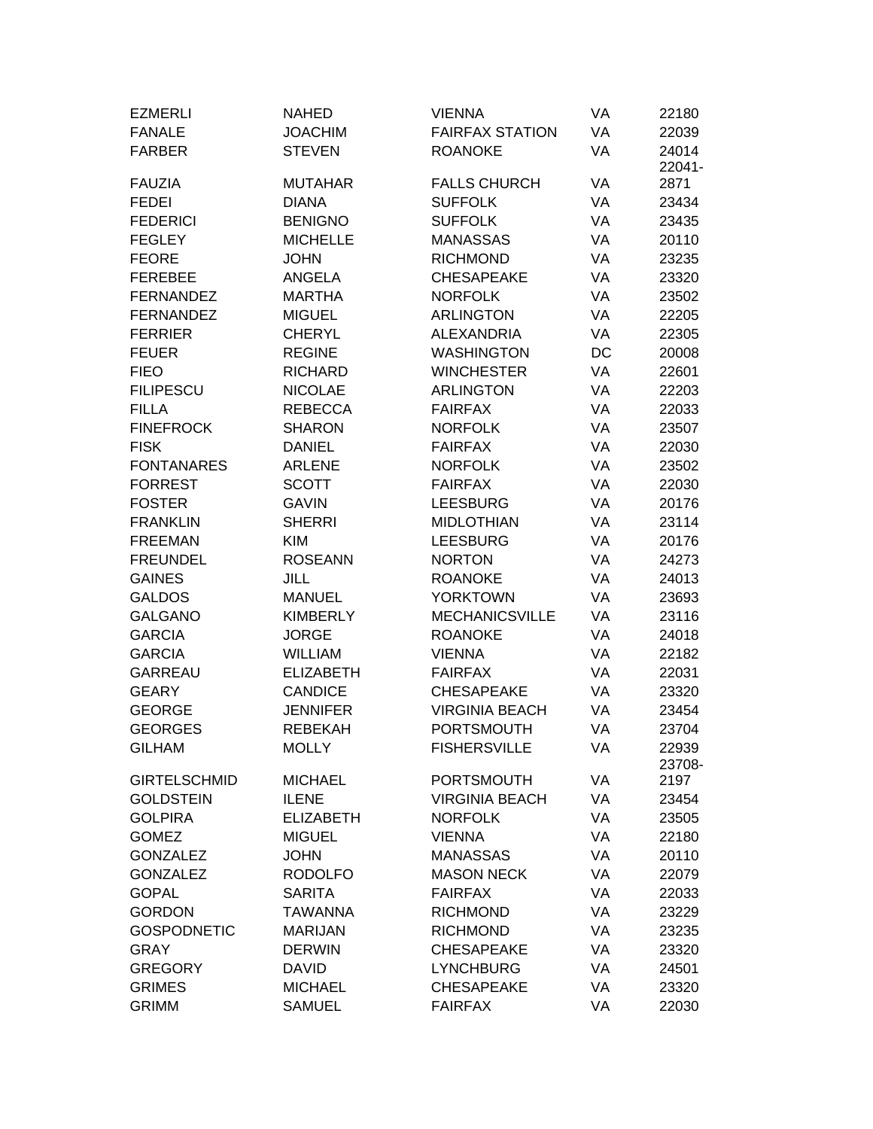| <b>EZMERLI</b>      | <b>NAHED</b>     | <b>VIENNA</b>          | VA | 22180           |
|---------------------|------------------|------------------------|----|-----------------|
| <b>FANALE</b>       | <b>JOACHIM</b>   | <b>FAIRFAX STATION</b> | VA | 22039           |
| <b>FARBER</b>       | <b>STEVEN</b>    | <b>ROANOKE</b>         | VA | 24014<br>22041- |
| <b>FAUZIA</b>       | <b>MUTAHAR</b>   | <b>FALLS CHURCH</b>    | VA | 2871            |
| <b>FEDEI</b>        | <b>DIANA</b>     | <b>SUFFOLK</b>         | VA | 23434           |
| <b>FEDERICI</b>     | <b>BENIGNO</b>   | <b>SUFFOLK</b>         | VA | 23435           |
| <b>FEGLEY</b>       | <b>MICHELLE</b>  | <b>MANASSAS</b>        | VA | 20110           |
| <b>FEORE</b>        | <b>JOHN</b>      | <b>RICHMOND</b>        | VA | 23235           |
| <b>FEREBEE</b>      | ANGELA           | <b>CHESAPEAKE</b>      | VA | 23320           |
| <b>FERNANDEZ</b>    | <b>MARTHA</b>    | <b>NORFOLK</b>         | VA | 23502           |
| <b>FERNANDEZ</b>    | <b>MIGUEL</b>    | <b>ARLINGTON</b>       | VA | 22205           |
| <b>FERRIER</b>      | <b>CHERYL</b>    | <b>ALEXANDRIA</b>      | VA | 22305           |
| <b>FEUER</b>        | <b>REGINE</b>    | <b>WASHINGTON</b>      | DC | 20008           |
| <b>FIEO</b>         | <b>RICHARD</b>   | <b>WINCHESTER</b>      | VA | 22601           |
| <b>FILIPESCU</b>    | <b>NICOLAE</b>   | <b>ARLINGTON</b>       | VA | 22203           |
| <b>FILLA</b>        | <b>REBECCA</b>   | <b>FAIRFAX</b>         | VA | 22033           |
| <b>FINEFROCK</b>    | <b>SHARON</b>    | <b>NORFOLK</b>         | VA | 23507           |
| <b>FISK</b>         | <b>DANIEL</b>    | <b>FAIRFAX</b>         | VA | 22030           |
| <b>FONTANARES</b>   | <b>ARLENE</b>    | <b>NORFOLK</b>         | VA | 23502           |
| <b>FORREST</b>      | <b>SCOTT</b>     | <b>FAIRFAX</b>         | VA | 22030           |
| <b>FOSTER</b>       | <b>GAVIN</b>     | <b>LEESBURG</b>        | VA | 20176           |
| <b>FRANKLIN</b>     | <b>SHERRI</b>    | <b>MIDLOTHIAN</b>      | VA | 23114           |
| <b>FREEMAN</b>      | <b>KIM</b>       | <b>LEESBURG</b>        | VA | 20176           |
| <b>FREUNDEL</b>     | <b>ROSEANN</b>   | <b>NORTON</b>          | VA | 24273           |
| <b>GAINES</b>       | <b>JILL</b>      | <b>ROANOKE</b>         | VA | 24013           |
| <b>GALDOS</b>       | <b>MANUEL</b>    | <b>YORKTOWN</b>        | VA | 23693           |
| <b>GALGANO</b>      | <b>KIMBERLY</b>  | <b>MECHANICSVILLE</b>  | VA | 23116           |
| <b>GARCIA</b>       | <b>JORGE</b>     | <b>ROANOKE</b>         | VA | 24018           |
| <b>GARCIA</b>       | <b>WILLIAM</b>   | <b>VIENNA</b>          | VA | 22182           |
| <b>GARREAU</b>      | <b>ELIZABETH</b> | <b>FAIRFAX</b>         | VA | 22031           |
| <b>GEARY</b>        | <b>CANDICE</b>   | <b>CHESAPEAKE</b>      | VA | 23320           |
| <b>GEORGE</b>       | <b>JENNIFER</b>  | <b>VIRGINIA BEACH</b>  | VA | 23454           |
| <b>GEORGES</b>      | <b>REBEKAH</b>   | <b>PORTSMOUTH</b>      | VA | 23704           |
| <b>GILHAM</b>       | <b>MOLLY</b>     | <b>FISHERSVILLE</b>    | VA | 22939<br>23708- |
| <b>GIRTELSCHMID</b> | <b>MICHAEL</b>   | <b>PORTSMOUTH</b>      | VA | 2197            |
| <b>GOLDSTEIN</b>    | <b>ILENE</b>     | <b>VIRGINIA BEACH</b>  | VA | 23454           |
| <b>GOLPIRA</b>      | <b>ELIZABETH</b> | <b>NORFOLK</b>         | VA | 23505           |
| <b>GOMEZ</b>        | <b>MIGUEL</b>    | <b>VIENNA</b>          | VA | 22180           |
| <b>GONZALEZ</b>     | <b>JOHN</b>      | <b>MANASSAS</b>        | VA | 20110           |
| <b>GONZALEZ</b>     | <b>RODOLFO</b>   | <b>MASON NECK</b>      | VA | 22079           |
| <b>GOPAL</b>        | <b>SARITA</b>    | <b>FAIRFAX</b>         | VA | 22033           |
| <b>GORDON</b>       | <b>TAWANNA</b>   | <b>RICHMOND</b>        | VA | 23229           |
| <b>GOSPODNETIC</b>  | <b>MARIJAN</b>   | <b>RICHMOND</b>        | VA | 23235           |
| <b>GRAY</b>         | <b>DERWIN</b>    | <b>CHESAPEAKE</b>      | VA | 23320           |
| <b>GREGORY</b>      | <b>DAVID</b>     | <b>LYNCHBURG</b>       | VA | 24501           |
| <b>GRIMES</b>       | <b>MICHAEL</b>   | <b>CHESAPEAKE</b>      | VA | 23320           |
| <b>GRIMM</b>        | <b>SAMUEL</b>    | <b>FAIRFAX</b>         | VA | 22030           |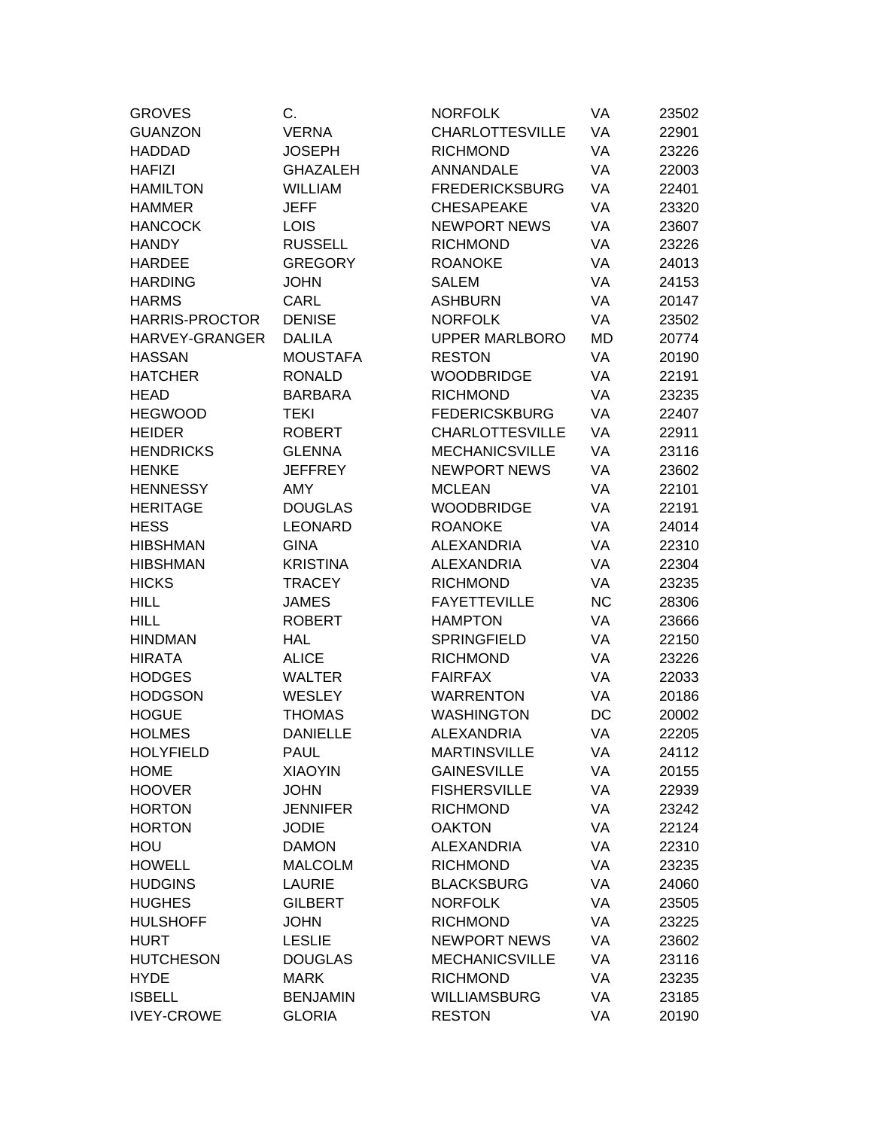| <b>GROVES</b>         | C.              | <b>NORFOLK</b>         | VA        | 23502 |
|-----------------------|-----------------|------------------------|-----------|-------|
| <b>GUANZON</b>        | <b>VERNA</b>    | <b>CHARLOTTESVILLE</b> | VA        | 22901 |
| <b>HADDAD</b>         | <b>JOSEPH</b>   | <b>RICHMOND</b>        | VA        | 23226 |
| <b>HAFIZI</b>         | <b>GHAZALEH</b> | <b>ANNANDALE</b>       | VA        | 22003 |
| <b>HAMILTON</b>       | <b>WILLIAM</b>  | <b>FREDERICKSBURG</b>  | VA        | 22401 |
| <b>HAMMER</b>         | <b>JEFF</b>     | <b>CHESAPEAKE</b>      | VA        | 23320 |
| <b>HANCOCK</b>        | <b>LOIS</b>     | <b>NEWPORT NEWS</b>    | VA        | 23607 |
| <b>HANDY</b>          | <b>RUSSELL</b>  | <b>RICHMOND</b>        | VA        | 23226 |
| <b>HARDEE</b>         | <b>GREGORY</b>  | <b>ROANOKE</b>         | VA        | 24013 |
| <b>HARDING</b>        | <b>JOHN</b>     | <b>SALEM</b>           | VA        | 24153 |
| <b>HARMS</b>          | <b>CARL</b>     | <b>ASHBURN</b>         | VA        | 20147 |
| <b>HARRIS-PROCTOR</b> | <b>DENISE</b>   | <b>NORFOLK</b>         | VA        | 23502 |
| HARVEY-GRANGER        | <b>DALILA</b>   | <b>UPPER MARLBORO</b>  | MD        | 20774 |
| <b>HASSAN</b>         | <b>MOUSTAFA</b> | <b>RESTON</b>          | VA        | 20190 |
| <b>HATCHER</b>        | <b>RONALD</b>   | <b>WOODBRIDGE</b>      | VA        | 22191 |
| <b>HEAD</b>           | <b>BARBARA</b>  | <b>RICHMOND</b>        | VA        | 23235 |
| <b>HEGWOOD</b>        | <b>TEKI</b>     | <b>FEDERICSKBURG</b>   | VA        | 22407 |
| <b>HEIDER</b>         | <b>ROBERT</b>   | <b>CHARLOTTESVILLE</b> | VA        | 22911 |
| <b>HENDRICKS</b>      | <b>GLENNA</b>   | <b>MECHANICSVILLE</b>  | VA        | 23116 |
| <b>HENKE</b>          | <b>JEFFREY</b>  | <b>NEWPORT NEWS</b>    | VA        | 23602 |
| <b>HENNESSY</b>       | <b>AMY</b>      | <b>MCLEAN</b>          | VA        | 22101 |
| <b>HERITAGE</b>       | <b>DOUGLAS</b>  | <b>WOODBRIDGE</b>      | VA        | 22191 |
| <b>HESS</b>           | <b>LEONARD</b>  | <b>ROANOKE</b>         | VA        | 24014 |
| <b>HIBSHMAN</b>       | <b>GINA</b>     | <b>ALEXANDRIA</b>      | VA        | 22310 |
| <b>HIBSHMAN</b>       | <b>KRISTINA</b> | <b>ALEXANDRIA</b>      | VA        | 22304 |
| <b>HICKS</b>          | <b>TRACEY</b>   | <b>RICHMOND</b>        | VA        | 23235 |
| <b>HILL</b>           | <b>JAMES</b>    | <b>FAYETTEVILLE</b>    | <b>NC</b> | 28306 |
| <b>HILL</b>           | <b>ROBERT</b>   | <b>HAMPTON</b>         | VA        | 23666 |
| <b>HINDMAN</b>        | <b>HAL</b>      | <b>SPRINGFIELD</b>     | VA        | 22150 |
| <b>HIRATA</b>         | <b>ALICE</b>    | <b>RICHMOND</b>        | VA        | 23226 |
| <b>HODGES</b>         | <b>WALTER</b>   | <b>FAIRFAX</b>         | VA        | 22033 |
| <b>HODGSON</b>        | <b>WESLEY</b>   | <b>WARRENTON</b>       | VA        | 20186 |
| <b>HOGUE</b>          | <b>THOMAS</b>   | <b>WASHINGTON</b>      | DC        | 20002 |
| <b>HOLMES</b>         | <b>DANIELLE</b> | <b>ALEXANDRIA</b>      | VA        | 22205 |
| <b>HOLYFIELD</b>      | <b>PAUL</b>     | <b>MARTINSVILLE</b>    | VA        | 24112 |
| <b>HOME</b>           | <b>XIAOYIN</b>  | <b>GAINESVILLE</b>     | VA        | 20155 |
| <b>HOOVER</b>         | <b>JOHN</b>     | <b>FISHERSVILLE</b>    | VA        | 22939 |
| <b>HORTON</b>         | <b>JENNIFER</b> | <b>RICHMOND</b>        | VA        | 23242 |
| <b>HORTON</b>         | <b>JODIE</b>    | <b>OAKTON</b>          | VA        | 22124 |
| HOU                   | <b>DAMON</b>    | <b>ALEXANDRIA</b>      | VA        | 22310 |
| <b>HOWELL</b>         | <b>MALCOLM</b>  | <b>RICHMOND</b>        | VA        | 23235 |
| <b>HUDGINS</b>        | <b>LAURIE</b>   | <b>BLACKSBURG</b>      | VA        | 24060 |
| <b>HUGHES</b>         | <b>GILBERT</b>  | <b>NORFOLK</b>         | VA        | 23505 |
| <b>HULSHOFF</b>       | <b>JOHN</b>     | <b>RICHMOND</b>        | VA        | 23225 |
| <b>HURT</b>           | <b>LESLIE</b>   | <b>NEWPORT NEWS</b>    | VA        | 23602 |
| <b>HUTCHESON</b>      | <b>DOUGLAS</b>  | <b>MECHANICSVILLE</b>  | VA        | 23116 |
| <b>HYDE</b>           | <b>MARK</b>     | <b>RICHMOND</b>        | VA        | 23235 |
| <b>ISBELL</b>         | <b>BENJAMIN</b> | <b>WILLIAMSBURG</b>    | VA        | 23185 |
| <b>IVEY-CROWE</b>     | <b>GLORIA</b>   | <b>RESTON</b>          | VA        | 20190 |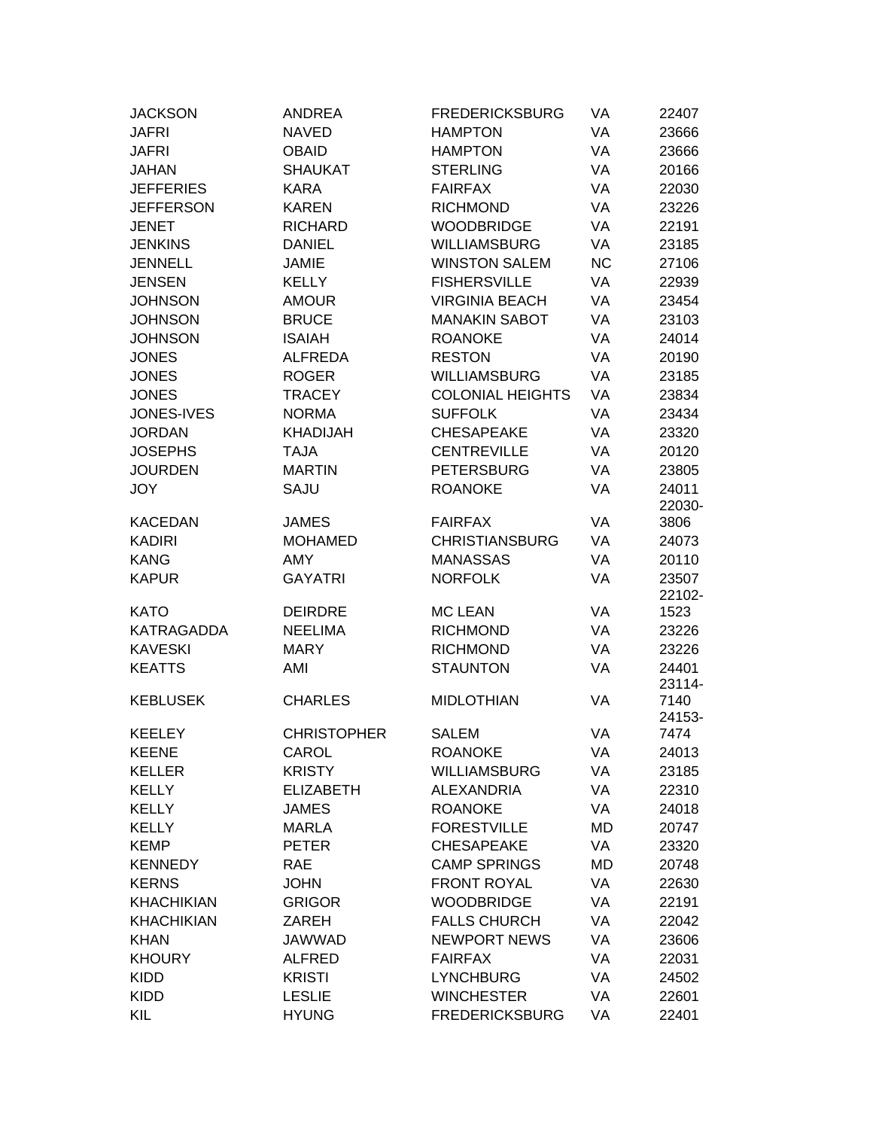| <b>JACKSON</b>    | <b>ANDREA</b>      | <b>FREDERICKSBURG</b>   | VA        | 22407           |
|-------------------|--------------------|-------------------------|-----------|-----------------|
| <b>JAFRI</b>      | <b>NAVED</b>       | <b>HAMPTON</b>          | VA        | 23666           |
| <b>JAFRI</b>      | <b>OBAID</b>       | <b>HAMPTON</b>          | VA        | 23666           |
| <b>JAHAN</b>      | <b>SHAUKAT</b>     | <b>STERLING</b>         | VA        | 20166           |
| <b>JEFFERIES</b>  | <b>KARA</b>        | <b>FAIRFAX</b>          | VA        | 22030           |
| <b>JEFFERSON</b>  | <b>KAREN</b>       | <b>RICHMOND</b>         | VA        | 23226           |
| <b>JENET</b>      | <b>RICHARD</b>     | <b>WOODBRIDGE</b>       | VA        | 22191           |
| <b>JENKINS</b>    | <b>DANIEL</b>      | <b>WILLIAMSBURG</b>     | VA        | 23185           |
| <b>JENNELL</b>    | <b>JAMIE</b>       | <b>WINSTON SALEM</b>    | <b>NC</b> | 27106           |
| <b>JENSEN</b>     | <b>KELLY</b>       | <b>FISHERSVILLE</b>     | VA        | 22939           |
| <b>JOHNSON</b>    | <b>AMOUR</b>       | <b>VIRGINIA BEACH</b>   | VA        | 23454           |
| <b>JOHNSON</b>    | <b>BRUCE</b>       | <b>MANAKIN SABOT</b>    | VA        | 23103           |
| <b>JOHNSON</b>    | <b>ISAIAH</b>      | <b>ROANOKE</b>          | VA        | 24014           |
| <b>JONES</b>      | <b>ALFREDA</b>     | <b>RESTON</b>           | VA        | 20190           |
| <b>JONES</b>      | <b>ROGER</b>       | <b>WILLIAMSBURG</b>     | VA        | 23185           |
| <b>JONES</b>      | <b>TRACEY</b>      | <b>COLONIAL HEIGHTS</b> | VA        | 23834           |
| JONES-IVES        | <b>NORMA</b>       | <b>SUFFOLK</b>          | VA        | 23434           |
| <b>JORDAN</b>     | <b>KHADIJAH</b>    | <b>CHESAPEAKE</b>       | VA        | 23320           |
| <b>JOSEPHS</b>    | <b>TAJA</b>        | <b>CENTREVILLE</b>      | VA        | 20120           |
| <b>JOURDEN</b>    | <b>MARTIN</b>      | <b>PETERSBURG</b>       | VA        | 23805           |
| <b>JOY</b>        | SAJU               | <b>ROANOKE</b>          | VA        | 24011           |
|                   |                    |                         |           | 22030-          |
| <b>KACEDAN</b>    | <b>JAMES</b>       | <b>FAIRFAX</b>          | VA        | 3806            |
| <b>KADIRI</b>     | <b>MOHAMED</b>     | <b>CHRISTIANSBURG</b>   | VA        | 24073           |
| <b>KANG</b>       | <b>AMY</b>         | <b>MANASSAS</b>         | VA        | 20110           |
| <b>KAPUR</b>      | <b>GAYATRI</b>     | <b>NORFOLK</b>          | VA        | 23507<br>22102- |
| <b>KATO</b>       | <b>DEIRDRE</b>     | <b>MC LEAN</b>          | VA        | 1523            |
| <b>KATRAGADDA</b> | <b>NEELIMA</b>     | <b>RICHMOND</b>         | VA        | 23226           |
| <b>KAVESKI</b>    | <b>MARY</b>        | <b>RICHMOND</b>         | VA        | 23226           |
| <b>KEATTS</b>     | AMI                | <b>STAUNTON</b>         | VA        | 24401<br>23114- |
| <b>KEBLUSEK</b>   | <b>CHARLES</b>     | <b>MIDLOTHIAN</b>       | VA        | 7140<br>24153-  |
| <b>KEELEY</b>     | <b>CHRISTOPHER</b> | <b>SALEM</b>            | VA        | 7474            |
| <b>KEENE</b>      | CAROL              | <b>ROANOKE</b>          | VA        | 24013           |
| <b>KELLER</b>     | <b>KRISTY</b>      | <b>WILLIAMSBURG</b>     | VA        | 23185           |
| <b>KELLY</b>      | <b>ELIZABETH</b>   | <b>ALEXANDRIA</b>       | VA        | 22310           |
| <b>KELLY</b>      | <b>JAMES</b>       | <b>ROANOKE</b>          | VA        | 24018           |
| <b>KELLY</b>      | <b>MARLA</b>       | <b>FORESTVILLE</b>      | MD        | 20747           |
| <b>KEMP</b>       | <b>PETER</b>       | CHESAPEAKE              | VA        | 23320           |
| <b>KENNEDY</b>    | <b>RAE</b>         | <b>CAMP SPRINGS</b>     | MD        | 20748           |
| <b>KERNS</b>      | <b>JOHN</b>        | <b>FRONT ROYAL</b>      | VA        | 22630           |
| <b>KHACHIKIAN</b> | <b>GRIGOR</b>      | <b>WOODBRIDGE</b>       | VA        | 22191           |
| <b>KHACHIKIAN</b> | ZAREH              | <b>FALLS CHURCH</b>     | VA        | 22042           |
| <b>KHAN</b>       | <b>JAWWAD</b>      | <b>NEWPORT NEWS</b>     | VA        | 23606           |
| <b>KHOURY</b>     | <b>ALFRED</b>      | <b>FAIRFAX</b>          | VA        | 22031           |
| <b>KIDD</b>       | <b>KRISTI</b>      | <b>LYNCHBURG</b>        | VA        | 24502           |
| <b>KIDD</b>       | <b>LESLIE</b>      | <b>WINCHESTER</b>       | VA        | 22601           |
| KIL               | <b>HYUNG</b>       | <b>FREDERICKSBURG</b>   | VA        | 22401           |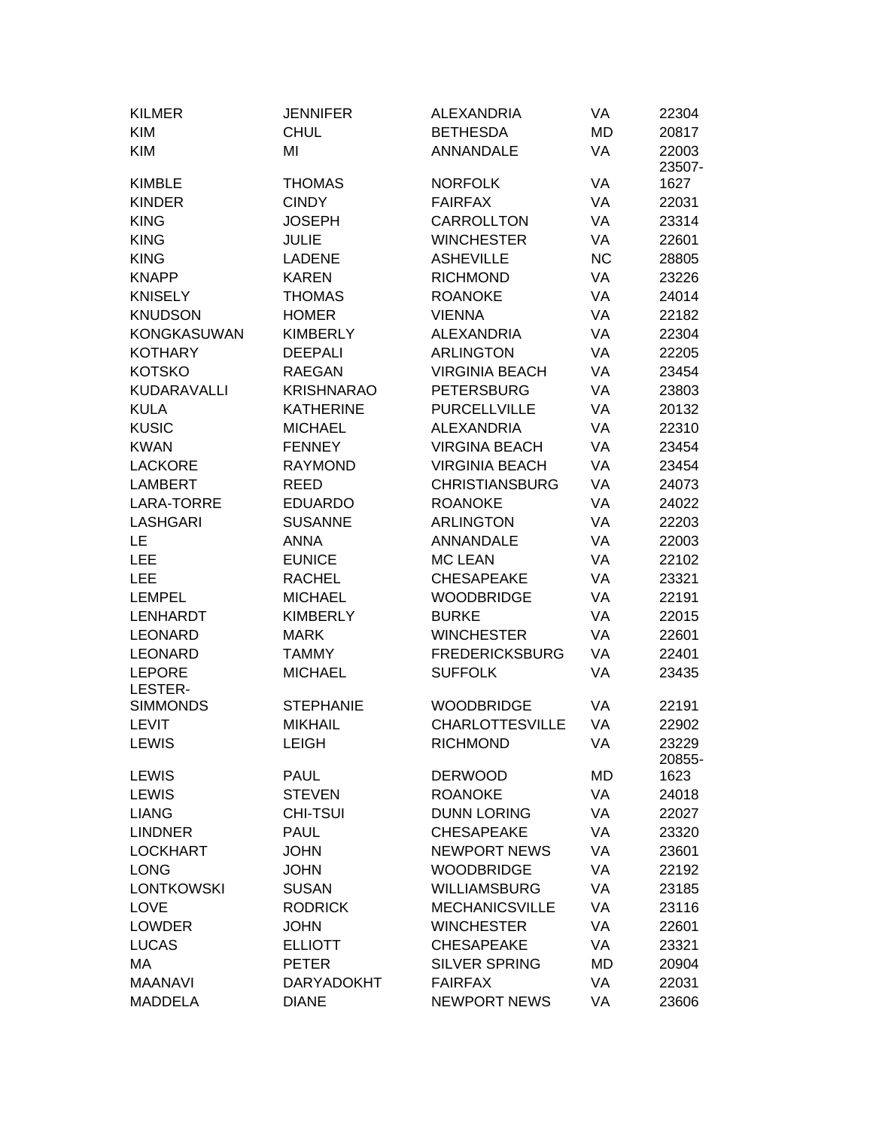| <b>KILMER</b>      | <b>JENNIFER</b>   | <b>ALEXANDRIA</b>      | VA        | 22304           |
|--------------------|-------------------|------------------------|-----------|-----------------|
| <b>KIM</b>         | <b>CHUL</b>       | <b>BETHESDA</b>        | <b>MD</b> | 20817           |
| <b>KIM</b>         | MI                | <b>ANNANDALE</b>       | VA        | 22003<br>23507- |
| <b>KIMBLE</b>      | <b>THOMAS</b>     | <b>NORFOLK</b>         | VA        | 1627            |
| <b>KINDER</b>      | <b>CINDY</b>      | <b>FAIRFAX</b>         | VA        | 22031           |
| <b>KING</b>        | <b>JOSEPH</b>     | CARROLLTON             | VA        | 23314           |
| <b>KING</b>        | <b>JULIE</b>      | <b>WINCHESTER</b>      | VA        | 22601           |
| <b>KING</b>        | <b>LADENE</b>     | <b>ASHEVILLE</b>       | <b>NC</b> | 28805           |
| <b>KNAPP</b>       | <b>KAREN</b>      | <b>RICHMOND</b>        | VA        | 23226           |
| <b>KNISELY</b>     | <b>THOMAS</b>     | <b>ROANOKE</b>         | VA        | 24014           |
| <b>KNUDSON</b>     | <b>HOMER</b>      | <b>VIENNA</b>          | VA        | 22182           |
| <b>KONGKASUWAN</b> | <b>KIMBERLY</b>   | <b>ALEXANDRIA</b>      | VA        | 22304           |
| <b>KOTHARY</b>     | <b>DEEPALI</b>    | <b>ARLINGTON</b>       | VA        | 22205           |
| <b>KOTSKO</b>      | <b>RAEGAN</b>     | <b>VIRGINIA BEACH</b>  | VA        | 23454           |
| KUDARAVALLI        | <b>KRISHNARAO</b> | <b>PETERSBURG</b>      | <b>VA</b> | 23803           |
| <b>KULA</b>        | <b>KATHERINE</b>  | <b>PURCELLVILLE</b>    | VA        | 20132           |
| <b>KUSIC</b>       | <b>MICHAEL</b>    | <b>ALEXANDRIA</b>      | VA        | 22310           |
| <b>KWAN</b>        | <b>FENNEY</b>     | <b>VIRGINA BEACH</b>   | VA        | 23454           |
| <b>LACKORE</b>     | <b>RAYMOND</b>    | <b>VIRGINIA BEACH</b>  | VA        | 23454           |
| <b>LAMBERT</b>     | <b>REED</b>       | <b>CHRISTIANSBURG</b>  | VA        | 24073           |
| <b>LARA-TORRE</b>  | <b>EDUARDO</b>    | <b>ROANOKE</b>         | VA        | 24022           |
| <b>LASHGARI</b>    | <b>SUSANNE</b>    | <b>ARLINGTON</b>       | VA        | 22203           |
| LE                 | <b>ANNA</b>       | <b>ANNANDALE</b>       | VA        | 22003           |
| LEE                | <b>EUNICE</b>     | <b>MC LEAN</b>         | VA        | 22102           |
| LEE                | <b>RACHEL</b>     | <b>CHESAPEAKE</b>      | VA        | 23321           |
| LEMPEL             | <b>MICHAEL</b>    | <b>WOODBRIDGE</b>      | VA        | 22191           |
| <b>LENHARDT</b>    | <b>KIMBERLY</b>   | <b>BURKE</b>           | VA        | 22015           |
| <b>LEONARD</b>     | <b>MARK</b>       | <b>WINCHESTER</b>      | VA        | 22601           |
| <b>LEONARD</b>     | <b>TAMMY</b>      | <b>FREDERICKSBURG</b>  | VA        | 22401           |
| <b>LEPORE</b>      | <b>MICHAEL</b>    | <b>SUFFOLK</b>         | VA        | 23435           |
| LESTER-            |                   |                        |           |                 |
| <b>SIMMONDS</b>    | <b>STEPHANIE</b>  | <b>WOODBRIDGE</b>      | VA        | 22191           |
| <b>LEVIT</b>       | <b>MIKHAIL</b>    | <b>CHARLOTTESVILLE</b> | VA        | 22902           |
| <b>LEWIS</b>       | <b>LEIGH</b>      | <b>RICHMOND</b>        | VA        | 23229<br>20855- |
| <b>LEWIS</b>       | <b>PAUL</b>       | <b>DERWOOD</b>         | MD        | 1623            |
| <b>LEWIS</b>       | <b>STEVEN</b>     | <b>ROANOKE</b>         | VA        | 24018           |
| <b>LIANG</b>       | <b>CHI-TSUI</b>   | <b>DUNN LORING</b>     | VA        | 22027           |
| <b>LINDNER</b>     | <b>PAUL</b>       | <b>CHESAPEAKE</b>      | VA        | 23320           |
| <b>LOCKHART</b>    | <b>JOHN</b>       | <b>NEWPORT NEWS</b>    | VA        | 23601           |
| <b>LONG</b>        | <b>JOHN</b>       | <b>WOODBRIDGE</b>      | VA        | 22192           |
| <b>LONTKOWSKI</b>  | <b>SUSAN</b>      | <b>WILLIAMSBURG</b>    | VA        | 23185           |
| <b>LOVE</b>        | <b>RODRICK</b>    | <b>MECHANICSVILLE</b>  | VA        | 23116           |
| <b>LOWDER</b>      | <b>JOHN</b>       | <b>WINCHESTER</b>      | VA        | 22601           |
| <b>LUCAS</b>       | <b>ELLIOTT</b>    | <b>CHESAPEAKE</b>      | VA        | 23321           |
| MA                 | <b>PETER</b>      | <b>SILVER SPRING</b>   | MD        | 20904           |
| <b>MAANAVI</b>     | <b>DARYADOKHT</b> | <b>FAIRFAX</b>         | VA        | 22031           |
| <b>MADDELA</b>     | <b>DIANE</b>      | <b>NEWPORT NEWS</b>    | VA        | 23606           |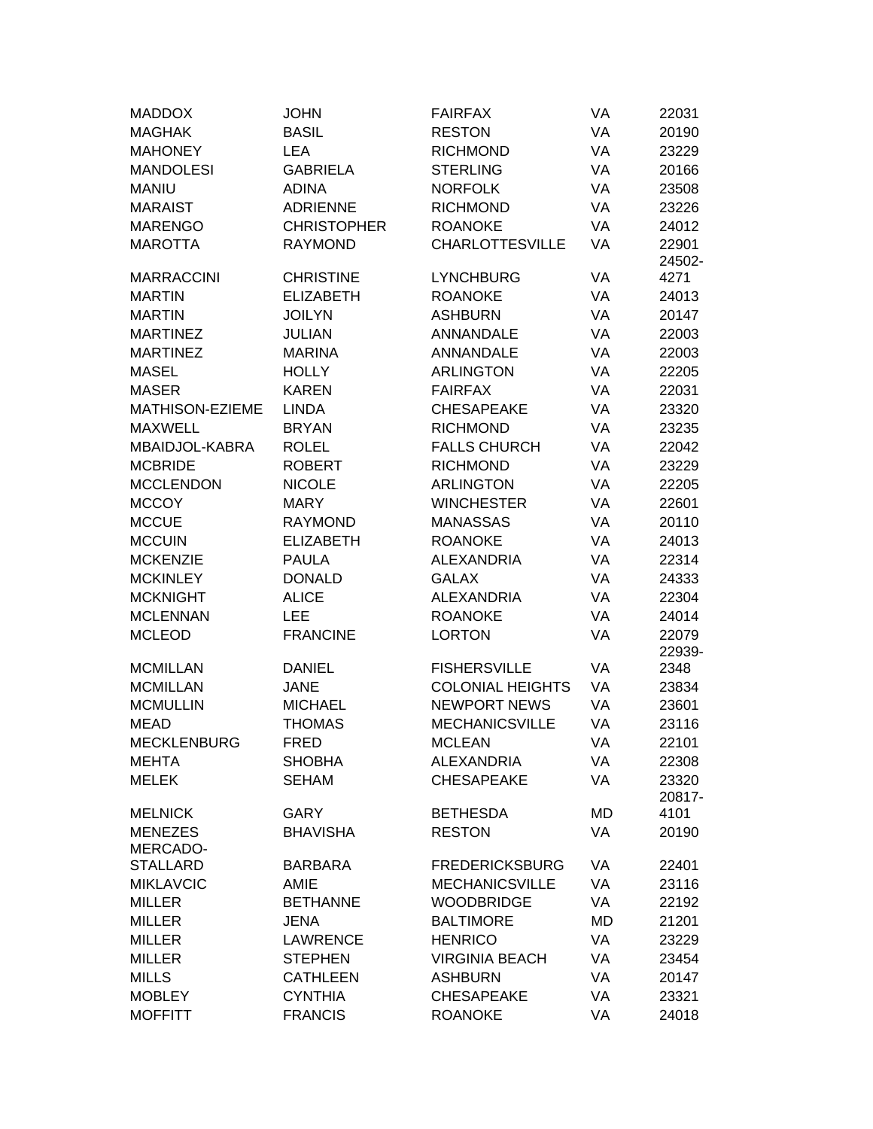| <b>MADDOX</b>              | <b>JOHN</b>        | <b>FAIRFAX</b>          | VA | 22031  |
|----------------------------|--------------------|-------------------------|----|--------|
| <b>MAGHAK</b>              | <b>BASIL</b>       | <b>RESTON</b>           | VA | 20190  |
| <b>MAHONEY</b>             | <b>LEA</b>         | <b>RICHMOND</b>         | VA | 23229  |
| <b>MANDOLESI</b>           | <b>GABRIELA</b>    | <b>STERLING</b>         | VA | 20166  |
| <b>MANIU</b>               | <b>ADINA</b>       | <b>NORFOLK</b>          | VA | 23508  |
| <b>MARAIST</b>             | <b>ADRIENNE</b>    | <b>RICHMOND</b>         | VA | 23226  |
| <b>MARENGO</b>             | <b>CHRISTOPHER</b> | <b>ROANOKE</b>          | VA | 24012  |
| <b>MAROTTA</b>             | <b>RAYMOND</b>     | <b>CHARLOTTESVILLE</b>  | VA | 22901  |
|                            |                    |                         |    | 24502- |
| <b>MARRACCINI</b>          | <b>CHRISTINE</b>   | <b>LYNCHBURG</b>        | VA | 4271   |
| <b>MARTIN</b>              | <b>ELIZABETH</b>   | <b>ROANOKE</b>          | VA | 24013  |
| <b>MARTIN</b>              | <b>JOILYN</b>      | <b>ASHBURN</b>          | VA | 20147  |
| <b>MARTINEZ</b>            | <b>JULIAN</b>      | ANNANDALE               | VA | 22003  |
| <b>MARTINEZ</b>            | <b>MARINA</b>      | ANNANDALE               | VA | 22003  |
| <b>MASEL</b>               | <b>HOLLY</b>       | <b>ARLINGTON</b>        | VA | 22205  |
| <b>MASER</b>               | <b>KAREN</b>       | <b>FAIRFAX</b>          | VA | 22031  |
| MATHISON-EZIEME            | <b>LINDA</b>       | <b>CHESAPEAKE</b>       | VA | 23320  |
| <b>MAXWELL</b>             | <b>BRYAN</b>       | <b>RICHMOND</b>         | VA | 23235  |
| MBAIDJOL-KABRA             | <b>ROLEL</b>       | <b>FALLS CHURCH</b>     | VA | 22042  |
| <b>MCBRIDE</b>             | <b>ROBERT</b>      | <b>RICHMOND</b>         | VA | 23229  |
| <b>MCCLENDON</b>           | <b>NICOLE</b>      | <b>ARLINGTON</b>        | VA | 22205  |
| <b>MCCOY</b>               | <b>MARY</b>        | <b>WINCHESTER</b>       | VA | 22601  |
| <b>MCCUE</b>               | <b>RAYMOND</b>     | <b>MANASSAS</b>         | VA | 20110  |
| <b>MCCUIN</b>              | <b>ELIZABETH</b>   | <b>ROANOKE</b>          | VA | 24013  |
| <b>MCKENZIE</b>            | <b>PAULA</b>       | <b>ALEXANDRIA</b>       | VA | 22314  |
| <b>MCKINLEY</b>            | <b>DONALD</b>      | <b>GALAX</b>            | VA | 24333  |
| <b>MCKNIGHT</b>            | <b>ALICE</b>       | <b>ALEXANDRIA</b>       | VA | 22304  |
| <b>MCLENNAN</b>            | <b>LEE</b>         | <b>ROANOKE</b>          | VA | 24014  |
| <b>MCLEOD</b>              | <b>FRANCINE</b>    | <b>LORTON</b>           | VA | 22079  |
|                            |                    |                         |    | 22939- |
| <b>MCMILLAN</b>            | <b>DANIEL</b>      | <b>FISHERSVILLE</b>     | VA | 2348   |
| <b>MCMILLAN</b>            | <b>JANE</b>        | <b>COLONIAL HEIGHTS</b> | VA | 23834  |
| <b>MCMULLIN</b>            | <b>MICHAEL</b>     | <b>NEWPORT NEWS</b>     | VA | 23601  |
| <b>MEAD</b>                | <b>THOMAS</b>      | <b>MECHANICSVILLE</b>   | VA | 23116  |
| <b>MECKLENBURG</b>         | <b>FRED</b>        | MCLEAN                  | VA | 22101  |
| <b>MEHTA</b>               | <b>SHOBHA</b>      | <b>ALEXANDRIA</b>       | VA | 22308  |
| <b>MELEK</b>               | <b>SEHAM</b>       | <b>CHESAPEAKE</b>       | VA | 23320  |
|                            |                    |                         |    | 20817- |
| <b>MELNICK</b>             | <b>GARY</b>        | <b>BETHESDA</b>         | MD | 4101   |
| <b>MENEZES</b><br>MERCADO- | <b>BHAVISHA</b>    | <b>RESTON</b>           | VA | 20190  |
| <b>STALLARD</b>            | <b>BARBARA</b>     | <b>FREDERICKSBURG</b>   | VA | 22401  |
| <b>MIKLAVCIC</b>           | AMIE               | <b>MECHANICSVILLE</b>   | VA | 23116  |
| <b>MILLER</b>              | <b>BETHANNE</b>    | <b>WOODBRIDGE</b>       | VA | 22192  |
| <b>MILLER</b>              | <b>JENA</b>        | <b>BALTIMORE</b>        | MD | 21201  |
| <b>MILLER</b>              | <b>LAWRENCE</b>    | <b>HENRICO</b>          | VA | 23229  |
| <b>MILLER</b>              | <b>STEPHEN</b>     | <b>VIRGINIA BEACH</b>   | VA | 23454  |
| <b>MILLS</b>               | <b>CATHLEEN</b>    | <b>ASHBURN</b>          | VA | 20147  |
| <b>MOBLEY</b>              | <b>CYNTHIA</b>     | <b>CHESAPEAKE</b>       | VA | 23321  |
| <b>MOFFITT</b>             | <b>FRANCIS</b>     | <b>ROANOKE</b>          | VA | 24018  |
|                            |                    |                         |    |        |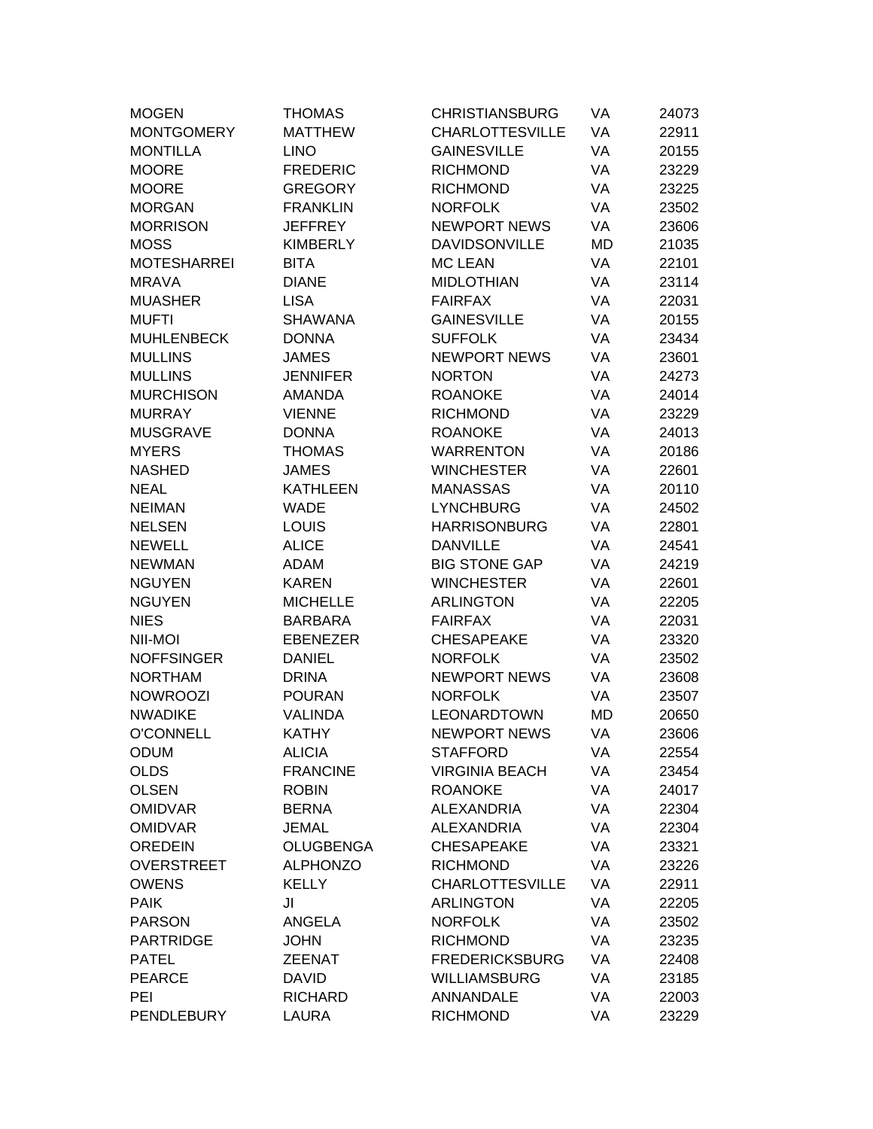| <b>MOGEN</b>       | <b>THOMAS</b>    | <b>CHRISTIANSBURG</b>  | VA        | 24073 |
|--------------------|------------------|------------------------|-----------|-------|
| <b>MONTGOMERY</b>  | <b>MATTHEW</b>   | <b>CHARLOTTESVILLE</b> | VA        | 22911 |
| <b>MONTILLA</b>    | <b>LINO</b>      | <b>GAINESVILLE</b>     | VA        | 20155 |
| <b>MOORE</b>       | <b>FREDERIC</b>  | <b>RICHMOND</b>        | VA        | 23229 |
| <b>MOORE</b>       | <b>GREGORY</b>   | <b>RICHMOND</b>        | VA        | 23225 |
| <b>MORGAN</b>      | <b>FRANKLIN</b>  | <b>NORFOLK</b>         | VA        | 23502 |
| <b>MORRISON</b>    | <b>JEFFREY</b>   | <b>NEWPORT NEWS</b>    | VA        | 23606 |
| <b>MOSS</b>        | <b>KIMBERLY</b>  | <b>DAVIDSONVILLE</b>   | <b>MD</b> | 21035 |
| <b>MOTESHARREI</b> | <b>BITA</b>      | <b>MC LEAN</b>         | VA        | 22101 |
| <b>MRAVA</b>       | <b>DIANE</b>     | <b>MIDLOTHIAN</b>      | VA        | 23114 |
| <b>MUASHER</b>     | <b>LISA</b>      | <b>FAIRFAX</b>         | VA        | 22031 |
| <b>MUFTI</b>       | <b>SHAWANA</b>   | <b>GAINESVILLE</b>     | VA        | 20155 |
| <b>MUHLENBECK</b>  | <b>DONNA</b>     | <b>SUFFOLK</b>         | VA        | 23434 |
| <b>MULLINS</b>     | <b>JAMES</b>     | <b>NEWPORT NEWS</b>    | VA        | 23601 |
| <b>MULLINS</b>     | <b>JENNIFER</b>  | <b>NORTON</b>          | VA        | 24273 |
| <b>MURCHISON</b>   | <b>AMANDA</b>    | <b>ROANOKE</b>         | VA        | 24014 |
| <b>MURRAY</b>      | <b>VIENNE</b>    | <b>RICHMOND</b>        | VA        | 23229 |
| <b>MUSGRAVE</b>    | <b>DONNA</b>     | <b>ROANOKE</b>         | VA        | 24013 |
| <b>MYERS</b>       | <b>THOMAS</b>    | <b>WARRENTON</b>       | VA        | 20186 |
| <b>NASHED</b>      | <b>JAMES</b>     | <b>WINCHESTER</b>      | VA        | 22601 |
| <b>NEAL</b>        | <b>KATHLEEN</b>  | <b>MANASSAS</b>        | VA        | 20110 |
| <b>NEIMAN</b>      | WADE             | <b>LYNCHBURG</b>       | VA        | 24502 |
| <b>NELSEN</b>      | <b>LOUIS</b>     | <b>HARRISONBURG</b>    | VA        | 22801 |
| <b>NEWELL</b>      | <b>ALICE</b>     | <b>DANVILLE</b>        | VA        | 24541 |
| <b>NEWMAN</b>      | <b>ADAM</b>      | <b>BIG STONE GAP</b>   | VA        | 24219 |
| <b>NGUYEN</b>      | <b>KAREN</b>     | <b>WINCHESTER</b>      | VA        | 22601 |
| <b>NGUYEN</b>      | <b>MICHELLE</b>  | <b>ARLINGTON</b>       | VA        | 22205 |
| <b>NIES</b>        | <b>BARBARA</b>   | <b>FAIRFAX</b>         | VA        | 22031 |
| NII-MOI            | <b>EBENEZER</b>  | <b>CHESAPEAKE</b>      | VA        | 23320 |
| <b>NOFFSINGER</b>  | <b>DANIEL</b>    | <b>NORFOLK</b>         | VA        | 23502 |
| <b>NORTHAM</b>     | <b>DRINA</b>     | <b>NEWPORT NEWS</b>    | VA        | 23608 |
| <b>NOWROOZI</b>    | <b>POURAN</b>    | <b>NORFOLK</b>         | VA        | 23507 |
| <b>NWADIKE</b>     | <b>VALINDA</b>   | LEONARDTOWN            | MD        | 20650 |
| <b>O'CONNELL</b>   | <b>KATHY</b>     | <b>NEWPORT NEWS</b>    | VA        | 23606 |
| <b>ODUM</b>        | <b>ALICIA</b>    | <b>STAFFORD</b>        | VA        | 22554 |
| <b>OLDS</b>        | <b>FRANCINE</b>  | <b>VIRGINIA BEACH</b>  | VA        | 23454 |
| <b>OLSEN</b>       | <b>ROBIN</b>     | <b>ROANOKE</b>         | VA        | 24017 |
| <b>OMIDVAR</b>     | <b>BERNA</b>     | <b>ALEXANDRIA</b>      | VA        | 22304 |
| <b>OMIDVAR</b>     | <b>JEMAL</b>     | <b>ALEXANDRIA</b>      | VA        | 22304 |
| <b>OREDEIN</b>     | <b>OLUGBENGA</b> | <b>CHESAPEAKE</b>      | VA        | 23321 |
| <b>OVERSTREET</b>  | <b>ALPHONZO</b>  | <b>RICHMOND</b>        | VA        | 23226 |
| <b>OWENS</b>       | <b>KELLY</b>     | <b>CHARLOTTESVILLE</b> | VA        | 22911 |
| <b>PAIK</b>        | JI               | <b>ARLINGTON</b>       | VA        | 22205 |
| <b>PARSON</b>      | ANGELA           | <b>NORFOLK</b>         | VA        | 23502 |
| <b>PARTRIDGE</b>   | <b>JOHN</b>      | <b>RICHMOND</b>        | VA        | 23235 |
| <b>PATEL</b>       | <b>ZEENAT</b>    | <b>FREDERICKSBURG</b>  | VA        | 22408 |
| <b>PEARCE</b>      | <b>DAVID</b>     | <b>WILLIAMSBURG</b>    | VA        | 23185 |
| PEI                | <b>RICHARD</b>   | ANNANDALE              | VA        | 22003 |
| <b>PENDLEBURY</b>  | LAURA            | <b>RICHMOND</b>        | VA        | 23229 |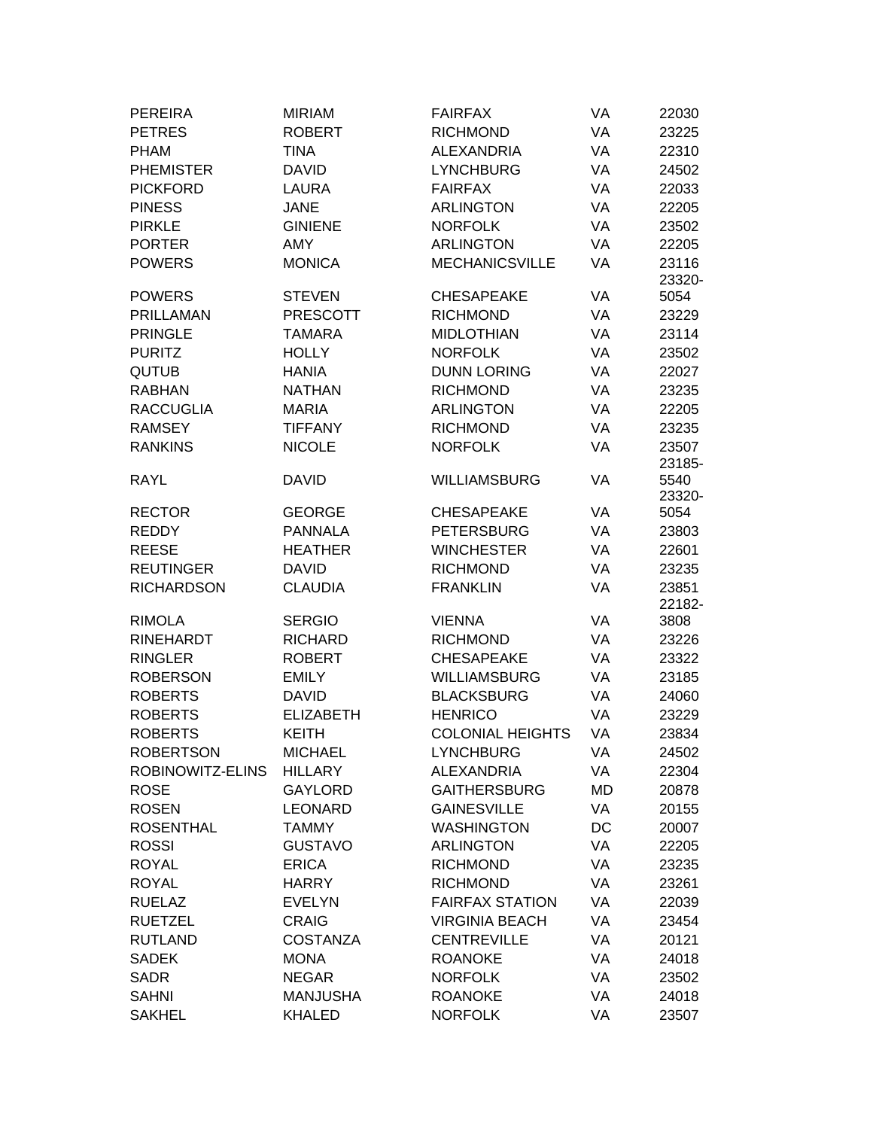| <b>PEREIRA</b>                    | <b>MIRIAM</b>    | <b>FAIRFAX</b>                   | VA       | 22030  |
|-----------------------------------|------------------|----------------------------------|----------|--------|
| <b>PETRES</b>                     | <b>ROBERT</b>    | <b>RICHMOND</b>                  | VA       | 23225  |
| <b>PHAM</b>                       | <b>TINA</b>      | <b>ALEXANDRIA</b>                | VA       | 22310  |
| <b>PHEMISTER</b>                  | <b>DAVID</b>     | <b>LYNCHBURG</b>                 | VA       | 24502  |
| <b>PICKFORD</b>                   | LAURA            | <b>FAIRFAX</b>                   | VA       | 22033  |
| <b>PINESS</b>                     | <b>JANE</b>      | <b>ARLINGTON</b>                 | VA       | 22205  |
| <b>PIRKLE</b>                     | <b>GINIENE</b>   | <b>NORFOLK</b>                   | VA       | 23502  |
| <b>PORTER</b>                     | <b>AMY</b>       | <b>ARLINGTON</b>                 | VA       | 22205  |
| <b>POWERS</b>                     | <b>MONICA</b>    | <b>MECHANICSVILLE</b>            | VA       | 23116  |
|                                   |                  |                                  |          | 23320- |
| <b>POWERS</b>                     | <b>STEVEN</b>    | <b>CHESAPEAKE</b>                | VA       | 5054   |
| <b>PRILLAMAN</b>                  | <b>PRESCOTT</b>  | <b>RICHMOND</b>                  | VA       | 23229  |
| <b>PRINGLE</b>                    | <b>TAMARA</b>    | <b>MIDLOTHIAN</b>                | VA       | 23114  |
| <b>PURITZ</b>                     | <b>HOLLY</b>     | <b>NORFOLK</b>                   | VA       | 23502  |
| <b>QUTUB</b>                      | <b>HANIA</b>     | <b>DUNN LORING</b>               | VA       | 22027  |
| <b>RABHAN</b>                     | <b>NATHAN</b>    | <b>RICHMOND</b>                  | VA       | 23235  |
| <b>RACCUGLIA</b>                  | <b>MARIA</b>     | <b>ARLINGTON</b>                 | VA       | 22205  |
| <b>RAMSEY</b>                     | <b>TIFFANY</b>   | <b>RICHMOND</b>                  | VA       | 23235  |
| <b>RANKINS</b>                    | <b>NICOLE</b>    | <b>NORFOLK</b>                   | VA       | 23507  |
|                                   |                  |                                  |          | 23185- |
| <b>RAYL</b>                       | <b>DAVID</b>     | <b>WILLIAMSBURG</b>              | VA       | 5540   |
|                                   |                  |                                  |          | 23320- |
| <b>RECTOR</b>                     | <b>GEORGE</b>    | <b>CHESAPEAKE</b>                | VA       | 5054   |
| <b>REDDY</b>                      | <b>PANNALA</b>   | <b>PETERSBURG</b>                | VA       | 23803  |
| <b>REESE</b>                      | <b>HEATHER</b>   | <b>WINCHESTER</b>                | VA       | 22601  |
| <b>REUTINGER</b>                  | <b>DAVID</b>     | <b>RICHMOND</b>                  | VA       | 23235  |
| <b>RICHARDSON</b>                 | <b>CLAUDIA</b>   | <b>FRANKLIN</b>                  | VA       | 23851  |
|                                   |                  |                                  |          | 22182- |
| <b>RIMOLA</b><br><b>RINEHARDT</b> | <b>SERGIO</b>    | <b>VIENNA</b><br><b>RICHMOND</b> | VA<br>VA | 3808   |
|                                   | <b>RICHARD</b>   |                                  |          | 23226  |
| <b>RINGLER</b>                    | <b>ROBERT</b>    | <b>CHESAPEAKE</b>                | VA       | 23322  |
| <b>ROBERSON</b>                   | <b>EMILY</b>     | <b>WILLIAMSBURG</b>              | VA       | 23185  |
| <b>ROBERTS</b>                    | <b>DAVID</b>     | <b>BLACKSBURG</b>                | VA       | 24060  |
| <b>ROBERTS</b>                    | <b>ELIZABETH</b> | <b>HENRICO</b>                   | VA       | 23229  |
| <b>ROBERTS</b>                    | <b>KEITH</b>     | <b>COLONIAL HEIGHTS</b>          | VA       | 23834  |
| <b>ROBERTSON</b>                  | <b>MICHAEL</b>   | <b>LYNCHBURG</b>                 | VA       | 24502  |
| ROBINOWITZ-ELINS                  | <b>HILLARY</b>   | <b>ALEXANDRIA</b>                | VA       | 22304  |
| <b>ROSE</b>                       | <b>GAYLORD</b>   | <b>GAITHERSBURG</b>              | MD       | 20878  |
| <b>ROSEN</b>                      | <b>LEONARD</b>   | <b>GAINESVILLE</b>               | VA       | 20155  |
| <b>ROSENTHAL</b>                  | <b>TAMMY</b>     | <b>WASHINGTON</b>                | DC       | 20007  |
| <b>ROSSI</b>                      | <b>GUSTAVO</b>   | <b>ARLINGTON</b>                 | VA       | 22205  |
| <b>ROYAL</b>                      | <b>ERICA</b>     | <b>RICHMOND</b>                  | VA       | 23235  |
| <b>ROYAL</b>                      | <b>HARRY</b>     | <b>RICHMOND</b>                  | VA       | 23261  |
| <b>RUELAZ</b>                     | <b>EVELYN</b>    | <b>FAIRFAX STATION</b>           | VA       | 22039  |
| <b>RUETZEL</b>                    | <b>CRAIG</b>     | <b>VIRGINIA BEACH</b>            | VA       | 23454  |
| <b>RUTLAND</b>                    | <b>COSTANZA</b>  | <b>CENTREVILLE</b>               | VA       | 20121  |
| <b>SADEK</b>                      | <b>MONA</b>      | <b>ROANOKE</b>                   | VA       | 24018  |
| <b>SADR</b>                       | <b>NEGAR</b>     | <b>NORFOLK</b>                   | VA       | 23502  |
| <b>SAHNI</b>                      | <b>MANJUSHA</b>  | <b>ROANOKE</b>                   | VA       | 24018  |
| <b>SAKHEL</b>                     | <b>KHALED</b>    | <b>NORFOLK</b>                   | VA       | 23507  |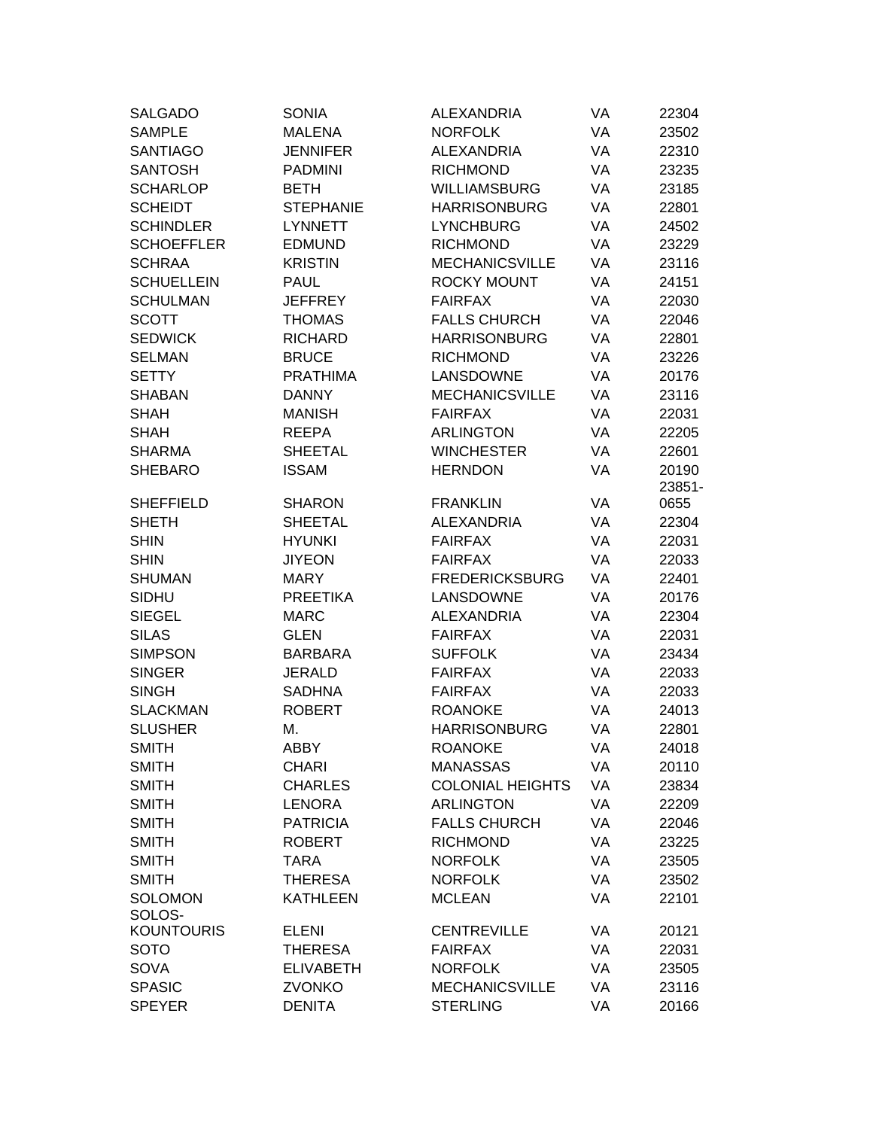| SALGADO           | <b>SONIA</b>     | <b>ALEXANDRIA</b>       | VA | 22304  |
|-------------------|------------------|-------------------------|----|--------|
| <b>SAMPLE</b>     | <b>MALENA</b>    | <b>NORFOLK</b>          | VA | 23502  |
| <b>SANTIAGO</b>   | <b>JENNIFER</b>  | <b>ALEXANDRIA</b>       | VA | 22310  |
| <b>SANTOSH</b>    | <b>PADMINI</b>   | <b>RICHMOND</b>         | VA | 23235  |
| <b>SCHARLOP</b>   | <b>BETH</b>      | <b>WILLIAMSBURG</b>     | VA | 23185  |
| <b>SCHEIDT</b>    | <b>STEPHANIE</b> | <b>HARRISONBURG</b>     | VA | 22801  |
| <b>SCHINDLER</b>  | <b>LYNNETT</b>   | <b>LYNCHBURG</b>        | VA | 24502  |
| <b>SCHOEFFLER</b> | <b>EDMUND</b>    | <b>RICHMOND</b>         | VA | 23229  |
| <b>SCHRAA</b>     | <b>KRISTIN</b>   | <b>MECHANICSVILLE</b>   | VA | 23116  |
| <b>SCHUELLEIN</b> | <b>PAUL</b>      | <b>ROCKY MOUNT</b>      | VA | 24151  |
| <b>SCHULMAN</b>   | <b>JEFFREY</b>   | <b>FAIRFAX</b>          | VA | 22030  |
| <b>SCOTT</b>      | <b>THOMAS</b>    | <b>FALLS CHURCH</b>     | VA | 22046  |
| <b>SEDWICK</b>    | <b>RICHARD</b>   | <b>HARRISONBURG</b>     | VA | 22801  |
| <b>SELMAN</b>     | <b>BRUCE</b>     | <b>RICHMOND</b>         | VA | 23226  |
| <b>SETTY</b>      | <b>PRATHIMA</b>  | LANSDOWNE               | VA | 20176  |
| <b>SHABAN</b>     | <b>DANNY</b>     | <b>MECHANICSVILLE</b>   | VA | 23116  |
| <b>SHAH</b>       | <b>MANISH</b>    | <b>FAIRFAX</b>          | VA | 22031  |
| <b>SHAH</b>       | <b>REEPA</b>     | <b>ARLINGTON</b>        | VA | 22205  |
| <b>SHARMA</b>     | <b>SHEETAL</b>   | <b>WINCHESTER</b>       | VA | 22601  |
| <b>SHEBARO</b>    | <b>ISSAM</b>     | <b>HERNDON</b>          | VA | 20190  |
|                   |                  |                         |    | 23851- |
| <b>SHEFFIELD</b>  | <b>SHARON</b>    | <b>FRANKLIN</b>         | VA | 0655   |
| <b>SHETH</b>      | <b>SHEETAL</b>   | <b>ALEXANDRIA</b>       | VA | 22304  |
| <b>SHIN</b>       | <b>HYUNKI</b>    | <b>FAIRFAX</b>          | VA | 22031  |
| <b>SHIN</b>       | <b>JIYEON</b>    | <b>FAIRFAX</b>          | VA | 22033  |
| <b>SHUMAN</b>     | <b>MARY</b>      | <b>FREDERICKSBURG</b>   | VA | 22401  |
| <b>SIDHU</b>      | <b>PREETIKA</b>  | LANSDOWNE               | VA | 20176  |
| <b>SIEGEL</b>     | <b>MARC</b>      | <b>ALEXANDRIA</b>       | VA | 22304  |
| <b>SILAS</b>      | <b>GLEN</b>      | <b>FAIRFAX</b>          | VA | 22031  |
| <b>SIMPSON</b>    | <b>BARBARA</b>   | <b>SUFFOLK</b>          | VA | 23434  |
| <b>SINGER</b>     | <b>JERALD</b>    | <b>FAIRFAX</b>          | VA | 22033  |
| <b>SINGH</b>      | <b>SADHNA</b>    | <b>FAIRFAX</b>          | VA | 22033  |
| <b>SLACKMAN</b>   | <b>ROBERT</b>    | <b>ROANOKE</b>          | VA | 24013  |
| <b>SLUSHER</b>    | М.               | <b>HARRISONBURG</b>     | VA | 22801  |
| <b>SMITH</b>      | ABBY             | <b>ROANOKE</b>          | VA | 24018  |
| <b>SMITH</b>      | <b>CHARI</b>     | <b>MANASSAS</b>         | VA | 20110  |
| <b>SMITH</b>      | <b>CHARLES</b>   | <b>COLONIAL HEIGHTS</b> | VA | 23834  |
| <b>SMITH</b>      | <b>LENORA</b>    | <b>ARLINGTON</b>        | VA | 22209  |
| <b>SMITH</b>      | <b>PATRICIA</b>  | <b>FALLS CHURCH</b>     | VA | 22046  |
| <b>SMITH</b>      | <b>ROBERT</b>    | <b>RICHMOND</b>         | VA | 23225  |
| <b>SMITH</b>      | <b>TARA</b>      | <b>NORFOLK</b>          | VA | 23505  |
| <b>SMITH</b>      | <b>THERESA</b>   | <b>NORFOLK</b>          | VA | 23502  |
| <b>SOLOMON</b>    | <b>KATHLEEN</b>  | <b>MCLEAN</b>           | VA | 22101  |
| SOLOS-            |                  |                         |    |        |
| <b>KOUNTOURIS</b> | <b>ELENI</b>     | <b>CENTREVILLE</b>      | VA | 20121  |
| <b>SOTO</b>       | <b>THERESA</b>   | <b>FAIRFAX</b>          | VA | 22031  |
| <b>SOVA</b>       | <b>ELIVABETH</b> | <b>NORFOLK</b>          | VA | 23505  |
| <b>SPASIC</b>     | <b>ZVONKO</b>    | <b>MECHANICSVILLE</b>   | VA | 23116  |
| <b>SPEYER</b>     | <b>DENITA</b>    | <b>STERLING</b>         | VA | 20166  |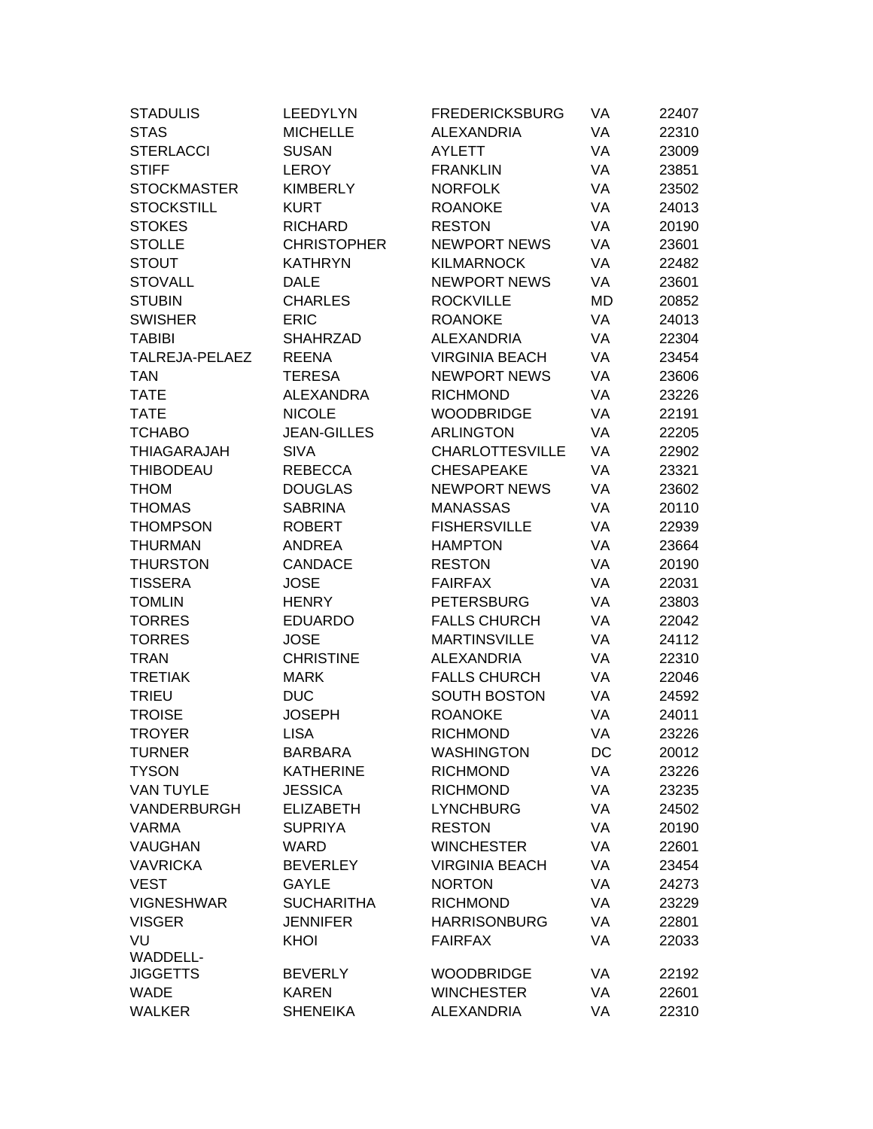| <b>STADULIS</b>    | LEEDYLYN           | <b>FREDERICKSBURG</b>  | VA | 22407 |
|--------------------|--------------------|------------------------|----|-------|
| <b>STAS</b>        | <b>MICHELLE</b>    | <b>ALEXANDRIA</b>      | VA | 22310 |
| <b>STERLACCI</b>   | <b>SUSAN</b>       | <b>AYLETT</b>          | VA | 23009 |
| <b>STIFF</b>       | <b>LEROY</b>       | <b>FRANKLIN</b>        | VA | 23851 |
| <b>STOCKMASTER</b> | <b>KIMBERLY</b>    | <b>NORFOLK</b>         | VA | 23502 |
| <b>STOCKSTILL</b>  | <b>KURT</b>        | <b>ROANOKE</b>         | VA | 24013 |
| <b>STOKES</b>      | <b>RICHARD</b>     | <b>RESTON</b>          | VA | 20190 |
| <b>STOLLE</b>      | <b>CHRISTOPHER</b> | <b>NEWPORT NEWS</b>    | VA | 23601 |
| <b>STOUT</b>       | <b>KATHRYN</b>     | <b>KILMARNOCK</b>      | VA | 22482 |
| <b>STOVALL</b>     | <b>DALE</b>        | <b>NEWPORT NEWS</b>    | VA | 23601 |
| <b>STUBIN</b>      | <b>CHARLES</b>     | <b>ROCKVILLE</b>       | MD | 20852 |
| <b>SWISHER</b>     | <b>ERIC</b>        | <b>ROANOKE</b>         | VA | 24013 |
| TABIBI             | <b>SHAHRZAD</b>    | <b>ALEXANDRIA</b>      | VA | 22304 |
| TALREJA-PELAEZ     | <b>REENA</b>       | <b>VIRGINIA BEACH</b>  | VA | 23454 |
| <b>TAN</b>         | <b>TERESA</b>      | <b>NEWPORT NEWS</b>    | VA | 23606 |
| <b>TATE</b>        | <b>ALEXANDRA</b>   | <b>RICHMOND</b>        | VA | 23226 |
| <b>TATE</b>        | <b>NICOLE</b>      | <b>WOODBRIDGE</b>      | VA | 22191 |
| <b>TCHABO</b>      | <b>JEAN-GILLES</b> | <b>ARLINGTON</b>       | VA | 22205 |
| <b>THIAGARAJAH</b> | <b>SIVA</b>        | <b>CHARLOTTESVILLE</b> | VA | 22902 |
| <b>THIBODEAU</b>   | <b>REBECCA</b>     | <b>CHESAPEAKE</b>      | VA | 23321 |
| <b>THOM</b>        | <b>DOUGLAS</b>     | <b>NEWPORT NEWS</b>    | VA | 23602 |
| <b>THOMAS</b>      | <b>SABRINA</b>     | <b>MANASSAS</b>        | VA | 20110 |
| <b>THOMPSON</b>    | <b>ROBERT</b>      | <b>FISHERSVILLE</b>    | VA | 22939 |
| <b>THURMAN</b>     | <b>ANDREA</b>      | <b>HAMPTON</b>         | VA | 23664 |
| <b>THURSTON</b>    | <b>CANDACE</b>     | <b>RESTON</b>          | VA | 20190 |
| <b>TISSERA</b>     | <b>JOSE</b>        | <b>FAIRFAX</b>         | VA | 22031 |
| <b>TOMLIN</b>      | <b>HENRY</b>       | <b>PETERSBURG</b>      | VA | 23803 |
| <b>TORRES</b>      | <b>EDUARDO</b>     | <b>FALLS CHURCH</b>    | VA | 22042 |
| <b>TORRES</b>      | <b>JOSE</b>        | <b>MARTINSVILLE</b>    | VA | 24112 |
| <b>TRAN</b>        | <b>CHRISTINE</b>   | <b>ALEXANDRIA</b>      | VA | 22310 |
| <b>TRETIAK</b>     | <b>MARK</b>        | <b>FALLS CHURCH</b>    | VA | 22046 |
| <b>TRIEU</b>       | <b>DUC</b>         | <b>SOUTH BOSTON</b>    | VA | 24592 |
| <b>TROISE</b>      | <b>JOSEPH</b>      | <b>ROANOKE</b>         | VA | 24011 |
| <b>TROYER</b>      | <b>LISA</b>        | <b>RICHMOND</b>        | VA | 23226 |
| <b>TURNER</b>      | <b>BARBARA</b>     | <b>WASHINGTON</b>      | DC | 20012 |
| <b>TYSON</b>       | <b>KATHERINE</b>   | <b>RICHMOND</b>        | VA | 23226 |
| VAN TUYLE          | <b>JESSICA</b>     | <b>RICHMOND</b>        | VA | 23235 |
| VANDERBURGH        | <b>ELIZABETH</b>   | <b>LYNCHBURG</b>       | VA | 24502 |
| <b>VARMA</b>       | <b>SUPRIYA</b>     | <b>RESTON</b>          | VA | 20190 |
| <b>VAUGHAN</b>     | <b>WARD</b>        | <b>WINCHESTER</b>      | VA | 22601 |
| <b>VAVRICKA</b>    | <b>BEVERLEY</b>    | <b>VIRGINIA BEACH</b>  | VA | 23454 |
| <b>VEST</b>        | <b>GAYLE</b>       | <b>NORTON</b>          | VA | 24273 |
| <b>VIGNESHWAR</b>  | <b>SUCHARITHA</b>  | <b>RICHMOND</b>        | VA | 23229 |
| <b>VISGER</b>      | <b>JENNIFER</b>    | <b>HARRISONBURG</b>    | VA | 22801 |
| VU                 | KHOI               | <b>FAIRFAX</b>         | VA | 22033 |
| <b>WADDELL-</b>    |                    |                        |    |       |
| <b>JIGGETTS</b>    | <b>BEVERLY</b>     | <b>WOODBRIDGE</b>      | VA | 22192 |
| <b>WADE</b>        | <b>KAREN</b>       | <b>WINCHESTER</b>      | VA | 22601 |
| <b>WALKER</b>      | <b>SHENEIKA</b>    | <b>ALEXANDRIA</b>      | VA | 22310 |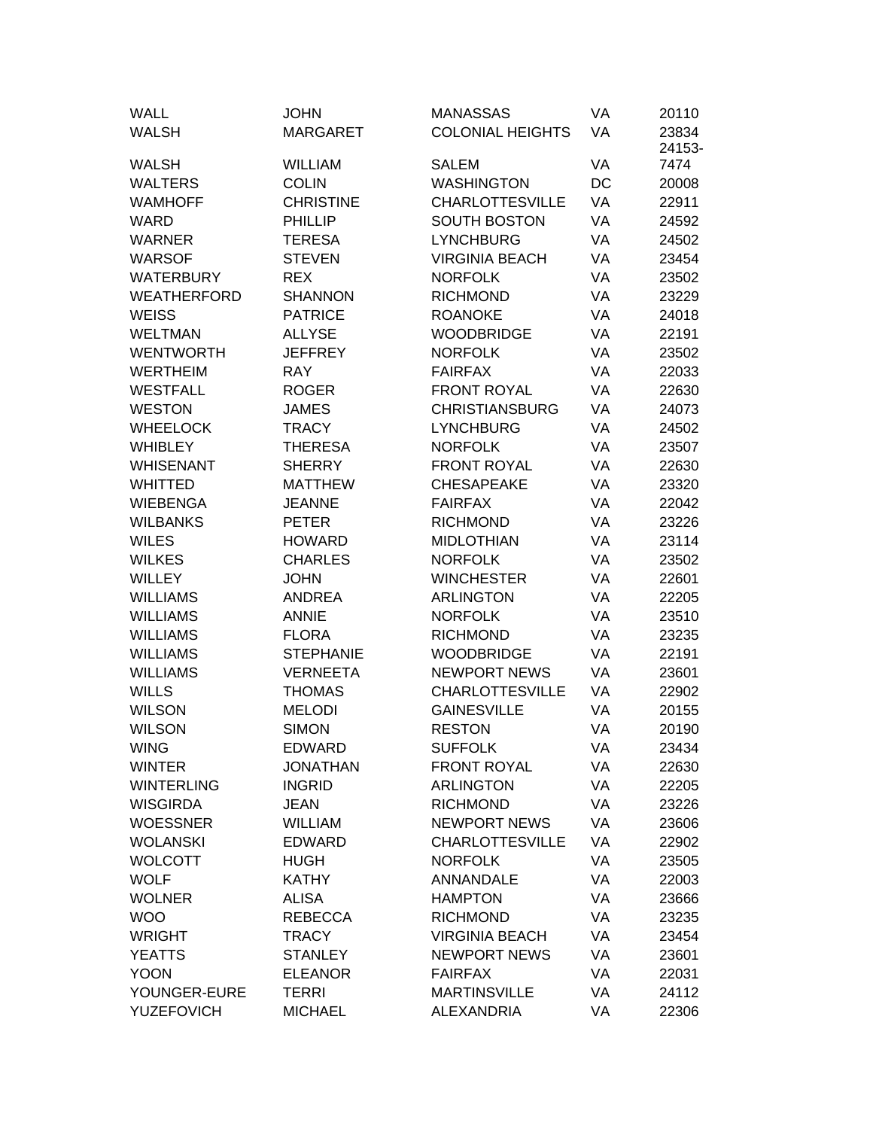| <b>WALL</b>        | <b>JOHN</b>      | <b>MANASSAS</b>         | VA | 20110           |
|--------------------|------------------|-------------------------|----|-----------------|
| <b>WALSH</b>       | <b>MARGARET</b>  | <b>COLONIAL HEIGHTS</b> | VA | 23834<br>24153- |
| <b>WALSH</b>       | <b>WILLIAM</b>   | <b>SALEM</b>            | VA | 7474            |
| <b>WALTERS</b>     | <b>COLIN</b>     | <b>WASHINGTON</b>       | DC | 20008           |
| WAMHOFF            | <b>CHRISTINE</b> | <b>CHARLOTTESVILLE</b>  | VA | 22911           |
| <b>WARD</b>        | <b>PHILLIP</b>   | <b>SOUTH BOSTON</b>     | VA | 24592           |
| WARNER             | <b>TERESA</b>    | <b>LYNCHBURG</b>        | VA | 24502           |
| <b>WARSOF</b>      | <b>STEVEN</b>    | <b>VIRGINIA BEACH</b>   | VA | 23454           |
| <b>WATERBURY</b>   | <b>REX</b>       | <b>NORFOLK</b>          | VA | 23502           |
| <b>WEATHERFORD</b> | <b>SHANNON</b>   | <b>RICHMOND</b>         | VA | 23229           |
| <b>WEISS</b>       | <b>PATRICE</b>   | <b>ROANOKE</b>          | VA | 24018           |
| WELTMAN            | <b>ALLYSE</b>    | <b>WOODBRIDGE</b>       | VA | 22191           |
| <b>WENTWORTH</b>   | <b>JEFFREY</b>   | <b>NORFOLK</b>          | VA | 23502           |
| <b>WERTHEIM</b>    | <b>RAY</b>       | <b>FAIRFAX</b>          | VA | 22033           |
| <b>WESTFALL</b>    | <b>ROGER</b>     | <b>FRONT ROYAL</b>      | VA | 22630           |
| <b>WESTON</b>      | <b>JAMES</b>     | <b>CHRISTIANSBURG</b>   | VA | 24073           |
| <b>WHEELOCK</b>    | <b>TRACY</b>     | <b>LYNCHBURG</b>        | VA | 24502           |
| <b>WHIBLEY</b>     | <b>THERESA</b>   | <b>NORFOLK</b>          | VA | 23507           |
| <b>WHISENANT</b>   | <b>SHERRY</b>    | <b>FRONT ROYAL</b>      | VA | 22630           |
| <b>WHITTED</b>     | <b>MATTHEW</b>   | <b>CHESAPEAKE</b>       | VA | 23320           |
| <b>WIEBENGA</b>    | <b>JEANNE</b>    | <b>FAIRFAX</b>          | VA | 22042           |
| <b>WILBANKS</b>    | <b>PETER</b>     | <b>RICHMOND</b>         | VA | 23226           |
| <b>WILES</b>       | <b>HOWARD</b>    | <b>MIDLOTHIAN</b>       | VA | 23114           |
| <b>WILKES</b>      | <b>CHARLES</b>   | <b>NORFOLK</b>          | VA | 23502           |
| <b>WILLEY</b>      | <b>JOHN</b>      | <b>WINCHESTER</b>       | VA | 22601           |
| <b>WILLIAMS</b>    | <b>ANDREA</b>    | <b>ARLINGTON</b>        | VA | 22205           |
| <b>WILLIAMS</b>    | <b>ANNIE</b>     | <b>NORFOLK</b>          | VA | 23510           |
| <b>WILLIAMS</b>    | <b>FLORA</b>     | <b>RICHMOND</b>         | VA | 23235           |
| <b>WILLIAMS</b>    | <b>STEPHANIE</b> | <b>WOODBRIDGE</b>       | VA | 22191           |
| <b>WILLIAMS</b>    | <b>VERNEETA</b>  | <b>NEWPORT NEWS</b>     | VA | 23601           |
| <b>WILLS</b>       | <b>THOMAS</b>    | <b>CHARLOTTESVILLE</b>  | VA | 22902           |
| <b>WILSON</b>      | <b>MELODI</b>    | <b>GAINESVILLE</b>      | VA | 20155           |
| <b>WILSON</b>      | <b>SIMON</b>     | <b>RESTON</b>           | VA | 20190           |
| WING               | EDWARD           | <b>SUFFOLK</b>          | VA | 23434           |
| <b>WINTER</b>      | <b>JONATHAN</b>  | <b>FRONT ROYAL</b>      | VA | 22630           |
| <b>WINTERLING</b>  | <b>INGRID</b>    | <b>ARLINGTON</b>        | VA | 22205           |
| <b>WISGIRDA</b>    | <b>JEAN</b>      | <b>RICHMOND</b>         | VA | 23226           |
| <b>WOESSNER</b>    | <b>WILLIAM</b>   | <b>NEWPORT NEWS</b>     | VA | 23606           |
| <b>WOLANSKI</b>    | <b>EDWARD</b>    | <b>CHARLOTTESVILLE</b>  | VA | 22902           |
| <b>WOLCOTT</b>     | <b>HUGH</b>      | <b>NORFOLK</b>          | VA | 23505           |
| <b>WOLF</b>        | <b>KATHY</b>     | ANNANDALE               | VA | 22003           |
| <b>WOLNER</b>      | <b>ALISA</b>     | <b>HAMPTON</b>          | VA | 23666           |
| <b>WOO</b>         | <b>REBECCA</b>   | <b>RICHMOND</b>         | VA | 23235           |
| <b>WRIGHT</b>      | <b>TRACY</b>     | <b>VIRGINIA BEACH</b>   | VA | 23454           |
| <b>YEATTS</b>      | <b>STANLEY</b>   | <b>NEWPORT NEWS</b>     | VA | 23601           |
| <b>YOON</b>        | <b>ELEANOR</b>   | <b>FAIRFAX</b>          | VA | 22031           |
| YOUNGER-EURE       | <b>TERRI</b>     | <b>MARTINSVILLE</b>     | VA | 24112           |
| <b>YUZEFOVICH</b>  | <b>MICHAEL</b>   | <b>ALEXANDRIA</b>       | VA | 22306           |